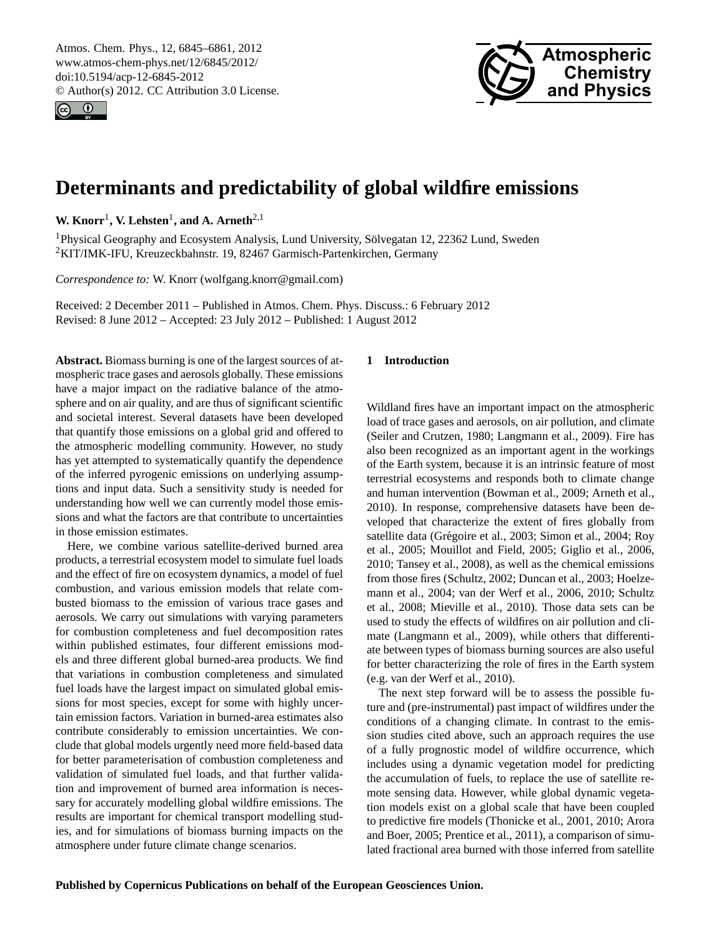<span id="page-0-0"></span>Atmos. Chem. Phys., 12, 6845–6861, 2012 www.atmos-chem-phys.net/12/6845/2012/ doi:10.5194/acp-12-6845-2012 © Author(s) 2012. CC Attribution 3.0 License.





# **Determinants and predictability of global wildfire emissions**

W. Knorr<sup>1</sup>, V. Lehsten<sup>1</sup>, and A. Arneth<sup>2,1</sup>

<sup>1</sup>Physical Geography and Ecosystem Analysis, Lund University, Sölvegatan 12, 22362 Lund, Sweden <sup>2</sup>KIT/IMK-IFU, Kreuzeckbahnstr. 19, 82467 Garmisch-Partenkirchen, Germany

*Correspondence to:* W. Knorr (wolfgang.knorr@gmail.com)

Received: 2 December 2011 – Published in Atmos. Chem. Phys. Discuss.: 6 February 2012 Revised: 8 June 2012 – Accepted: 23 July 2012 – Published: 1 August 2012

**Abstract.** Biomass burning is one of the largest sources of atmospheric trace gases and aerosols globally. These emissions have a major impact on the radiative balance of the atmosphere and on air quality, and are thus of significant scientific and societal interest. Several datasets have been developed that quantify those emissions on a global grid and offered to the atmospheric modelling community. However, no study has yet attempted to systematically quantify the dependence of the inferred pyrogenic emissions on underlying assumptions and input data. Such a sensitivity study is needed for understanding how well we can currently model those emissions and what the factors are that contribute to uncertainties in those emission estimates.

Here, we combine various satellite-derived burned area products, a terrestrial ecosystem model to simulate fuel loads and the effect of fire on ecosystem dynamics, a model of fuel combustion, and various emission models that relate combusted biomass to the emission of various trace gases and aerosols. We carry out simulations with varying parameters for combustion completeness and fuel decomposition rates within published estimates, four different emissions models and three different global burned-area products. We find that variations in combustion completeness and simulated fuel loads have the largest impact on simulated global emissions for most species, except for some with highly uncertain emission factors. Variation in burned-area estimates also contribute considerably to emission uncertainties. We conclude that global models urgently need more field-based data for better parameterisation of combustion completeness and validation of simulated fuel loads, and that further validation and improvement of burned area information is necessary for accurately modelling global wildfire emissions. The results are important for chemical transport modelling studies, and for simulations of biomass burning impacts on the atmosphere under future climate change scenarios.

# **1 Introduction**

Wildland fires have an important impact on the atmospheric load of trace gases and aerosols, on air pollution, and climate (Seiler and Crutzen, 1980; Langmann et al., 2009). Fire has also been recognized as an important agent in the workings of the Earth system, because it is an intrinsic feature of most terrestrial ecosystems and responds both to climate change and human intervention (Bowman et al., 2009; Arneth et al., 2010). In response, comprehensive datasets have been developed that characterize the extent of fires globally from satellite data (Grégoire et al., 2003; Simon et al., 2004; Roy et al., 2005; Mouillot and Field, 2005; Giglio et al., 2006, 2010; Tansey et al., 2008), as well as the chemical emissions from those fires (Schultz, 2002; Duncan et al., 2003; Hoelzemann et al., 2004; van der Werf et al., 2006, 2010; Schultz et al., 2008; Mieville et al., 2010). Those data sets can be used to study the effects of wildfires on air pollution and climate (Langmann et al., 2009), while others that differentiate between types of biomass burning sources are also useful for better characterizing the role of fires in the Earth system (e.g. van der Werf et al., 2010).

The next step forward will be to assess the possible future and (pre-instrumental) past impact of wildfires under the conditions of a changing climate. In contrast to the emission studies cited above, such an approach requires the use of a fully prognostic model of wildfire occurrence, which includes using a dynamic vegetation model for predicting the accumulation of fuels, to replace the use of satellite remote sensing data. However, while global dynamic vegetation models exist on a global scale that have been coupled to predictive fire models (Thonicke et al., 2001, 2010; Arora and Boer, 2005; Prentice et al., 2011), a comparison of simulated fractional area burned with those inferred from satellite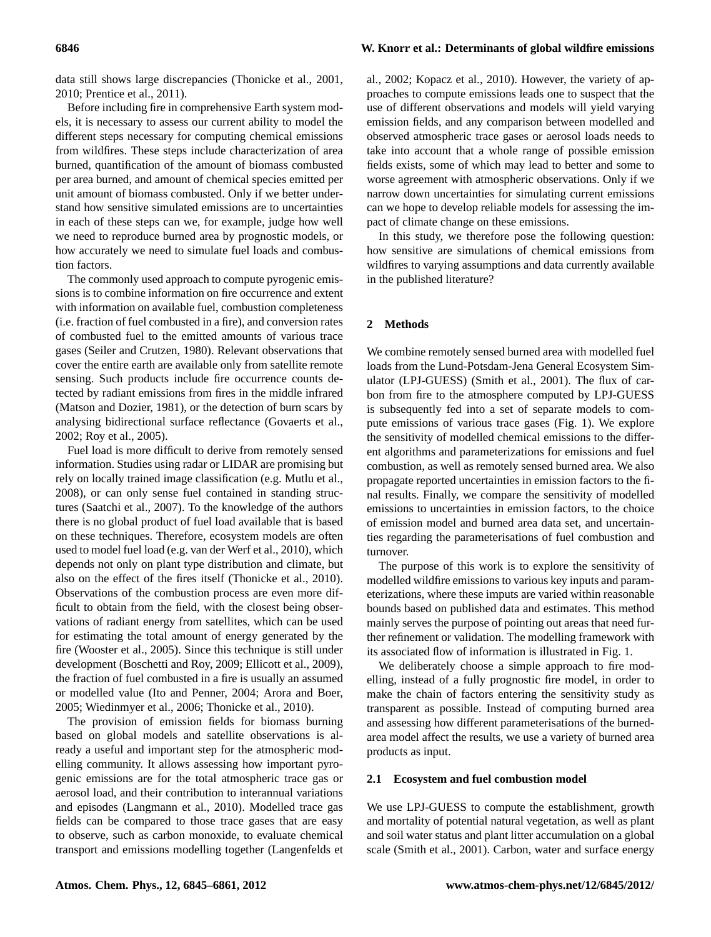data still shows large discrepancies (Thonicke et al., 2001, 2010; Prentice et al., 2011).

Before including fire in comprehensive Earth system models, it is necessary to assess our current ability to model the different steps necessary for computing chemical emissions from wildfires. These steps include characterization of area burned, quantification of the amount of biomass combusted per area burned, and amount of chemical species emitted per unit amount of biomass combusted. Only if we better understand how sensitive simulated emissions are to uncertainties in each of these steps can we, for example, judge how well we need to reproduce burned area by prognostic models, or how accurately we need to simulate fuel loads and combustion factors.

The commonly used approach to compute pyrogenic emissions is to combine information on fire occurrence and extent with information on available fuel, combustion completeness (i.e. fraction of fuel combusted in a fire), and conversion rates of combusted fuel to the emitted amounts of various trace gases (Seiler and Crutzen, 1980). Relevant observations that cover the entire earth are available only from satellite remote sensing. Such products include fire occurrence counts detected by radiant emissions from fires in the middle infrared (Matson and Dozier, 1981), or the detection of burn scars by analysing bidirectional surface reflectance (Govaerts et al., 2002; Roy et al., 2005).

Fuel load is more difficult to derive from remotely sensed information. Studies using radar or LIDAR are promising but rely on locally trained image classification (e.g. Mutlu et al., 2008), or can only sense fuel contained in standing structures (Saatchi et al., 2007). To the knowledge of the authors there is no global product of fuel load available that is based on these techniques. Therefore, ecosystem models are often used to model fuel load (e.g. van der Werf et al., 2010), which depends not only on plant type distribution and climate, but also on the effect of the fires itself (Thonicke et al., 2010). Observations of the combustion process are even more difficult to obtain from the field, with the closest being observations of radiant energy from satellites, which can be used for estimating the total amount of energy generated by the fire (Wooster et al., 2005). Since this technique is still under development (Boschetti and Roy, 2009; Ellicott et al., 2009), the fraction of fuel combusted in a fire is usually an assumed or modelled value (Ito and Penner, 2004; Arora and Boer, 2005; Wiedinmyer et al., 2006; Thonicke et al., 2010).

The provision of emission fields for biomass burning based on global models and satellite observations is already a useful and important step for the atmospheric modelling community. It allows assessing how important pyrogenic emissions are for the total atmospheric trace gas or aerosol load, and their contribution to interannual variations and episodes (Langmann et al., 2010). Modelled trace gas fields can be compared to those trace gases that are easy to observe, such as carbon monoxide, to evaluate chemical transport and emissions modelling together (Langenfelds et al., 2002; Kopacz et al., 2010). However, the variety of approaches to compute emissions leads one to suspect that the use of different observations and models will yield varying emission fields, and any comparison between modelled and observed atmospheric trace gases or aerosol loads needs to take into account that a whole range of possible emission fields exists, some of which may lead to better and some to worse agreement with atmospheric observations. Only if we narrow down uncertainties for simulating current emissions can we hope to develop reliable models for assessing the impact of climate change on these emissions.

In this study, we therefore pose the following question: how sensitive are simulations of chemical emissions from wildfires to varying assumptions and data currently available in the published literature?

# **2 Methods**

We combine remotely sensed burned area with modelled fuel loads from the Lund-Potsdam-Jena General Ecosystem Simulator (LPJ-GUESS) (Smith et al., 2001). The flux of carbon from fire to the atmosphere computed by LPJ-GUESS is subsequently fed into a set of separate models to compute emissions of various trace gases (Fig. 1). We explore the sensitivity of modelled chemical emissions to the different algorithms and parameterizations for emissions and fuel combustion, as well as remotely sensed burned area. We also propagate reported uncertainties in emission factors to the final results. Finally, we compare the sensitivity of modelled emissions to uncertainties in emission factors, to the choice of emission model and burned area data set, and uncertainties regarding the parameterisations of fuel combustion and turnover.

The purpose of this work is to explore the sensitivity of modelled wildfire emissions to various key inputs and parameterizations, where these imputs are varied within reasonable bounds based on published data and estimates. This method mainly serves the purpose of pointing out areas that need further refinement or validation. The modelling framework with its associated flow of information is illustrated in Fig. 1.

We deliberately choose a simple approach to fire modelling, instead of a fully prognostic fire model, in order to make the chain of factors entering the sensitivity study as transparent as possible. Instead of computing burned area and assessing how different parameterisations of the burnedarea model affect the results, we use a variety of burned area products as input.

#### **2.1 Ecosystem and fuel combustion model**

We use LPJ-GUESS to compute the establishment, growth and mortality of potential natural vegetation, as well as plant and soil water status and plant litter accumulation on a global scale (Smith et al., 2001). Carbon, water and surface energy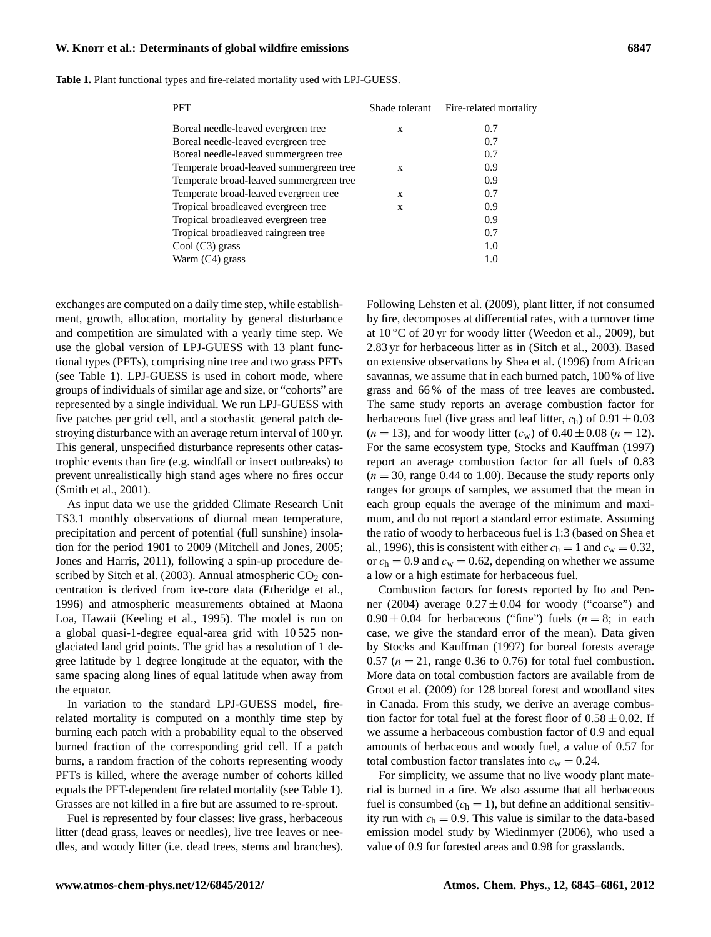|  |  |  |  | Table 1. Plant functional types and fire-related mortality used with LPJ-GUESS. |
|--|--|--|--|---------------------------------------------------------------------------------|
|--|--|--|--|---------------------------------------------------------------------------------|

| PFT                                     | Shade tolerant | Fire-related mortality |
|-----------------------------------------|----------------|------------------------|
| Boreal needle-leaved evergreen tree     | X              | 0.7                    |
| Boreal needle-leaved evergreen tree     |                | 0.7                    |
| Boreal needle-leaved summergreen tree   |                | 0.7                    |
| Temperate broad-leaved summergreen tree | X              | 0.9                    |
| Temperate broad-leaved summergreen tree |                | 0.9                    |
| Temperate broad-leaved evergreen tree   | X              | 0.7                    |
| Tropical broadleaved evergreen tree     | X              | 0.9                    |
| Tropical broadleaved evergreen tree     |                | 0.9                    |
| Tropical broadleaved raingreen tree     |                | 0.7                    |
| $\text{Cool}(\text{C3})$ grass          |                | 1.0                    |
| Warm $(C4)$ grass                       |                | 1.0                    |
|                                         |                |                        |

exchanges are computed on a daily time step, while establishment, growth, allocation, mortality by general disturbance and competition are simulated with a yearly time step. We use the global version of LPJ-GUESS with 13 plant functional types (PFTs), comprising nine tree and two grass PFTs (see Table 1). LPJ-GUESS is used in cohort mode, where groups of individuals of similar age and size, or "cohorts" are represented by a single individual. We run LPJ-GUESS with five patches per grid cell, and a stochastic general patch destroying disturbance with an average return interval of 100 yr. This general, unspecified disturbance represents other catastrophic events than fire (e.g. windfall or insect outbreaks) to prevent unrealistically high stand ages where no fires occur (Smith et al., 2001).

As input data we use the gridded Climate Research Unit TS3.1 monthly observations of diurnal mean temperature, precipitation and percent of potential (full sunshine) insolation for the period 1901 to 2009 (Mitchell and Jones, 2005; Jones and Harris, 2011), following a spin-up procedure described by Sitch et al. (2003). Annual atmospheric  $CO<sub>2</sub>$  concentration is derived from ice-core data (Etheridge et al., 1996) and atmospheric measurements obtained at Maona Loa, Hawaii (Keeling et al., 1995). The model is run on a global quasi-1-degree equal-area grid with 10 525 nonglaciated land grid points. The grid has a resolution of 1 degree latitude by 1 degree longitude at the equator, with the same spacing along lines of equal latitude when away from the equator.

In variation to the standard LPJ-GUESS model, firerelated mortality is computed on a monthly time step by burning each patch with a probability equal to the observed burned fraction of the corresponding grid cell. If a patch burns, a random fraction of the cohorts representing woody PFTs is killed, where the average number of cohorts killed equals the PFT-dependent fire related mortality (see Table 1). Grasses are not killed in a fire but are assumed to re-sprout.

Fuel is represented by four classes: live grass, herbaceous litter (dead grass, leaves or needles), live tree leaves or needles, and woody litter (i.e. dead trees, stems and branches). Following Lehsten et al. (2009), plant litter, if not consumed by fire, decomposes at differential rates, with a turnover time at  $10^{\circ}$ C of  $20$  yr for woody litter (Weedon et al., 2009), but 2.83 yr for herbaceous litter as in (Sitch et al., 2003). Based on extensive observations by Shea et al. (1996) from African savannas, we assume that in each burned patch, 100 % of live grass and 66 % of the mass of tree leaves are combusted. The same study reports an average combustion factor for herbaceous fuel (live grass and leaf litter,  $c<sub>h</sub>$ ) of  $0.91 \pm 0.03$  $(n = 13)$ , and for woody litter  $(c_w)$  of  $0.40 \pm 0.08$   $(n = 12)$ . For the same ecosystem type, Stocks and Kauffman (1997) report an average combustion factor for all fuels of 0.83  $(n = 30, \text{range } 0.44 \text{ to } 1.00)$ . Because the study reports only ranges for groups of samples, we assumed that the mean in each group equals the average of the minimum and maximum, and do not report a standard error estimate. Assuming the ratio of woody to herbaceous fuel is 1:3 (based on Shea et al., 1996), this is consistent with either  $c_h = 1$  and  $c_w = 0.32$ , or  $c_h = 0.9$  and  $c_w = 0.62$ , depending on whether we assume a low or a high estimate for herbaceous fuel.

Combustion factors for forests reported by Ito and Penner (2004) average  $0.27 \pm 0.04$  for woody ("coarse") and  $0.90 \pm 0.04$  for herbaceous ("fine") fuels ( $n = 8$ ; in each case, we give the standard error of the mean). Data given by Stocks and Kauffman (1997) for boreal forests average 0.57 ( $n = 21$ , range 0.36 to 0.76) for total fuel combustion. More data on total combustion factors are available from de Groot et al. (2009) for 128 boreal forest and woodland sites in Canada. From this study, we derive an average combustion factor for total fuel at the forest floor of  $0.58 \pm 0.02$ . If we assume a herbaceous combustion factor of 0.9 and equal amounts of herbaceous and woody fuel, a value of 0.57 for total combustion factor translates into  $c_w = 0.24$ .

For simplicity, we assume that no live woody plant material is burned in a fire. We also assume that all herbaceous fuel is consumbed  $(c<sub>h</sub> = 1)$ , but define an additional sensitivity run with  $c_h = 0.9$ . This value is similar to the data-based emission model study by Wiedinmyer (2006), who used a value of 0.9 for forested areas and 0.98 for grasslands.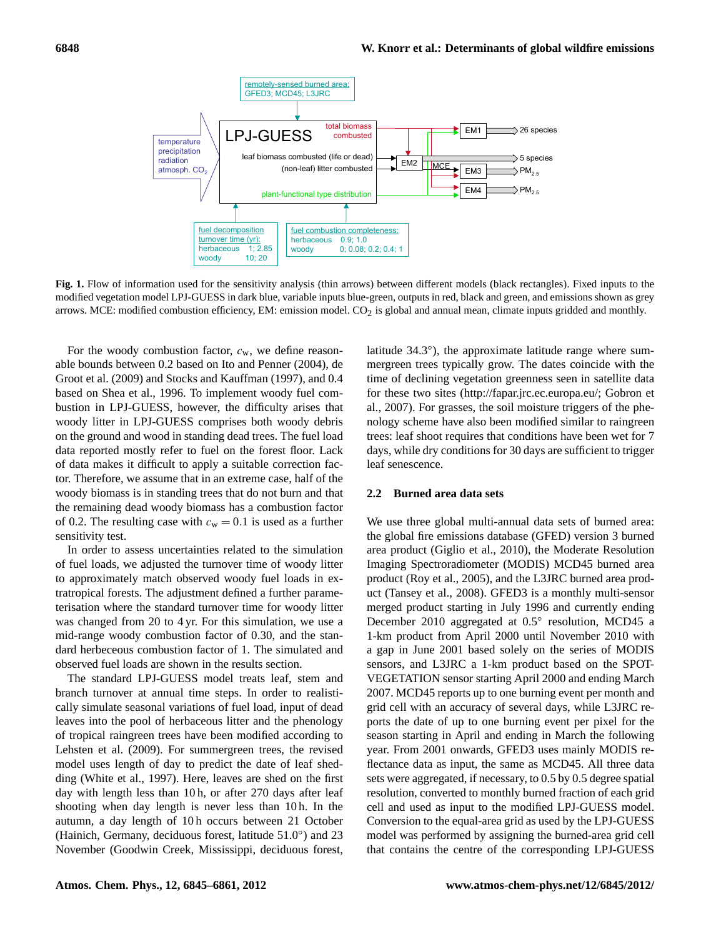

**Fig. 1.** Flow of information used for the sensitivity analysis (thin arrows) between different models (black rectangles). Fixed inputs to the modified vegetation model LPJ-GUESS in dark blue, variable inputs blue-green, outputs in red, black and green, and emissions shown as grey arrows. MCE: modified combustion efficiency, EM: emission model.  $CO<sub>2</sub>$  is global and annual mean, climate inputs gridded and monthly.

For the woody combustion factor,  $c_w$ , we define reasonable bounds between 0.2 based on Ito and Penner (2004), de Groot et al. (2009) and Stocks and Kauffman (1997), and 0.4 based on Shea et al., 1996. To implement woody fuel combustion in LPJ-GUESS, however, the difficulty arises that woody litter in LPJ-GUESS comprises both woody debris on the ground and wood in standing dead trees. The fuel load data reported mostly refer to fuel on the forest floor. Lack of data makes it difficult to apply a suitable correction factor. Therefore, we assume that in an extreme case, half of the woody biomass is in standing trees that do not burn and that the remaining dead woody biomass has a combustion factor of 0.2. The resulting case with  $c_w = 0.1$  is used as a further sensitivity test.

In order to assess uncertainties related to the simulation of fuel loads, we adjusted the turnover time of woody litter to approximately match observed woody fuel loads in extratropical forests. The adjustment defined a further parameterisation where the standard turnover time for woody litter was changed from 20 to 4 yr. For this simulation, we use a mid-range woody combustion factor of 0.30, and the standard herbeceous combustion factor of 1. The simulated and observed fuel loads are shown in the results section.

The standard LPJ-GUESS model treats leaf, stem and branch turnover at annual time steps. In order to realistically simulate seasonal variations of fuel load, input of dead leaves into the pool of herbaceous litter and the phenology of tropical raingreen trees have been modified according to Lehsten et al. (2009). For summergreen trees, the revised model uses length of day to predict the date of leaf shedding (White et al., 1997). Here, leaves are shed on the first day with length less than 10 h, or after 270 days after leaf shooting when day length is never less than 10 h. In the autumn, a day length of 10h occurs between 21 October (Hainich, Germany, deciduous forest, latitude 51.0◦ ) and 23 November (Goodwin Creek, Mississippi, deciduous forest,

latitude 34.3°), the approximate latitude range where summergreen trees typically grow. The dates coincide with the time of declining vegetation greenness seen in satellite data for these two sites [\(http://fapar.jrc.ec.europa.eu/;](http://fapar.jrc.ec.europa.eu/) Gobron et al., 2007). For grasses, the soil moisture triggers of the phenology scheme have also been modified similar to raingreen trees: leaf shoot requires that conditions have been wet for 7 days, while dry conditions for 30 days are sufficient to trigger leaf senescence.

# **2.2 Burned area data sets**

We use three global multi-annual data sets of burned area: the global fire emissions database (GFED) version 3 burned area product (Giglio et al., 2010), the Moderate Resolution Imaging Spectroradiometer (MODIS) MCD45 burned area product (Roy et al., 2005), and the L3JRC burned area product (Tansey et al., 2008). GFED3 is a monthly multi-sensor merged product starting in July 1996 and currently ending December 2010 aggregated at 0.5<sup>°</sup> resolution, MCD45 a 1-km product from April 2000 until November 2010 with a gap in June 2001 based solely on the series of MODIS sensors, and L3JRC a 1-km product based on the SPOT-VEGETATION sensor starting April 2000 and ending March 2007. MCD45 reports up to one burning event per month and grid cell with an accuracy of several days, while L3JRC reports the date of up to one burning event per pixel for the season starting in April and ending in March the following year. From 2001 onwards, GFED3 uses mainly MODIS reflectance data as input, the same as MCD45. All three data sets were aggregated, if necessary, to 0.5 by 0.5 degree spatial resolution, converted to monthly burned fraction of each grid cell and used as input to the modified LPJ-GUESS model. Conversion to the equal-area grid as used by the LPJ-GUESS model was performed by assigning the burned-area grid cell that contains the centre of the corresponding LPJ-GUESS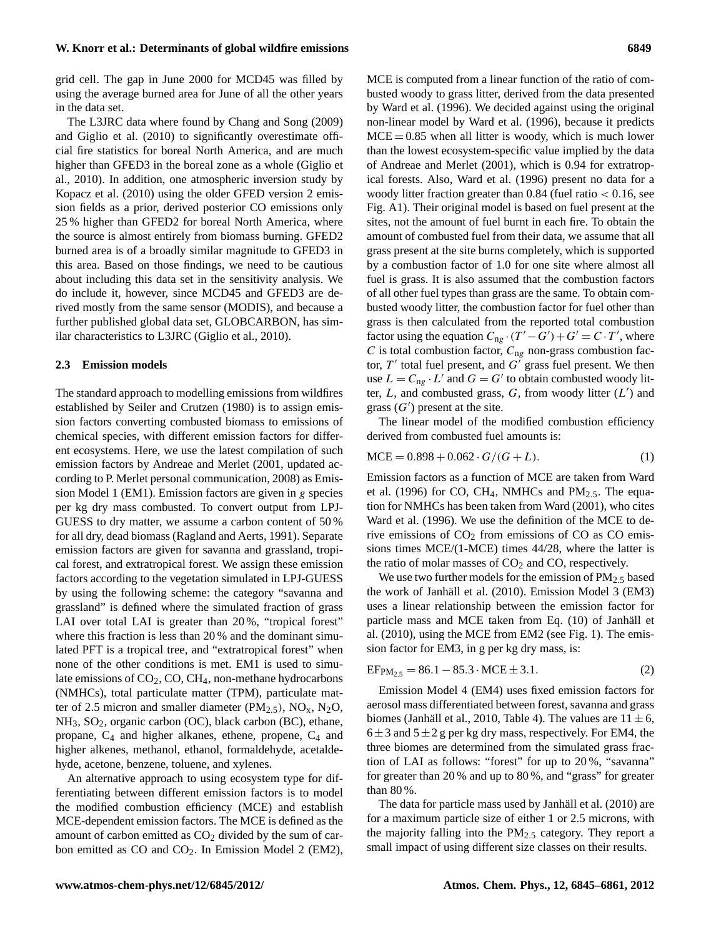grid cell. The gap in June 2000 for MCD45 was filled by using the average burned area for June of all the other years in the data set.

The L3JRC data where found by Chang and Song (2009) and Giglio et al. (2010) to significantly overestimate official fire statistics for boreal North America, and are much higher than GFED3 in the boreal zone as a whole (Giglio et al., 2010). In addition, one atmospheric inversion study by Kopacz et al. (2010) using the older GFED version 2 emission fields as a prior, derived posterior CO emissions only 25 % higher than GFED2 for boreal North America, where the source is almost entirely from biomass burning. GFED2 burned area is of a broadly similar magnitude to GFED3 in this area. Based on those findings, we need to be cautious about including this data set in the sensitivity analysis. We do include it, however, since MCD45 and GFED3 are derived mostly from the same sensor (MODIS), and because a further published global data set, GLOBCARBON, has similar characteristics to L3JRC (Giglio et al., 2010).

#### **2.3 Emission models**

The standard approach to modelling emissions from wildfires established by Seiler and Crutzen (1980) is to assign emission factors converting combusted biomass to emissions of chemical species, with different emission factors for different ecosystems. Here, we use the latest compilation of such emission factors by Andreae and Merlet (2001, updated according to P. Merlet personal communication, 2008) as Emission Model 1 (EM1). Emission factors are given in g species per kg dry mass combusted. To convert output from LPJ-GUESS to dry matter, we assume a carbon content of 50 % for all dry, dead biomass (Ragland and Aerts, 1991). Separate emission factors are given for savanna and grassland, tropical forest, and extratropical forest. We assign these emission factors according to the vegetation simulated in LPJ-GUESS by using the following scheme: the category "savanna and grassland" is defined where the simulated fraction of grass LAI over total LAI is greater than 20%, "tropical forest" where this fraction is less than 20 % and the dominant simulated PFT is a tropical tree, and "extratropical forest" when none of the other conditions is met. EM1 is used to simulate emissions of  $CO<sub>2</sub>$ ,  $CO$ ,  $CH<sub>4</sub>$ , non-methane hydrocarbons (NMHCs), total particulate matter (TPM), particulate matter of 2.5 micron and smaller diameter ( $PM_{2.5}$ ),  $NO_x$ ,  $N_2O$ , NH<sub>3</sub>, SO<sub>2</sub>, organic carbon (OC), black carbon (BC), ethane, propane,  $C_4$  and higher alkanes, ethene, propene,  $C_4$  and higher alkenes, methanol, ethanol, formaldehyde, acetaldehyde, acetone, benzene, toluene, and xylenes.

An alternative approach to using ecosystem type for differentiating between different emission factors is to model the modified combustion efficiency (MCE) and establish MCE-dependent emission factors. The MCE is defined as the amount of carbon emitted as  $CO<sub>2</sub>$  divided by the sum of carbon emitted as CO and CO<sub>2</sub>. In Emission Model 2 (EM2), MCE is computed from a linear function of the ratio of combusted woody to grass litter, derived from the data presented by Ward et al. (1996). We decided against using the original non-linear model by Ward et al. (1996), because it predicts  $MCE = 0.85$  when all litter is woody, which is much lower than the lowest ecosystem-specific value implied by the data of Andreae and Merlet (2001), which is 0.94 for extratropical forests. Also, Ward et al. (1996) present no data for a woody litter fraction greater than  $0.84$  (fuel ratio  $< 0.16$ , see Fig. A1). Their original model is based on fuel present at the sites, not the amount of fuel burnt in each fire. To obtain the amount of combusted fuel from their data, we assume that all grass present at the site burns completely, which is supported by a combustion factor of 1.0 for one site where almost all fuel is grass. It is also assumed that the combustion factors of all other fuel types than grass are the same. To obtain combusted woody litter, the combustion factor for fuel other than grass is then calculated from the reported total combustion factor using the equation  $C_{ng} \cdot (T' - G') + G' = C \cdot T'$ , where C is total combustion factor,  $C_{ng}$  non-grass combustion factor,  $T'$  total fuel present, and  $G'$  grass fuel present. We then use  $L = C_{ng} \cdot L'$  and  $G = G'$  to obtain combusted woody litter, L, and combusted grass, G, from woody litter  $(L')$  and grass  $(G')$  present at the site.

The linear model of the modified combustion efficiency derived from combusted fuel amounts is:

$$
MCE = 0.898 + 0.062 \cdot G/(G+L). \tag{1}
$$

Emission factors as a function of MCE are taken from Ward et al. (1996) for CO, CH<sub>4</sub>, NMHCs and PM<sub>2.5</sub>. The equation for NMHCs has been taken from Ward (2001), who cites Ward et al. (1996). We use the definition of the MCE to derive emissions of  $CO<sub>2</sub>$  from emissions of CO as CO emissions times MCE/(1-MCE) times 44/28, where the latter is the ratio of molar masses of  $CO<sub>2</sub>$  and  $CO$ , respectively.

We use two further models for the emission of  $PM_{2.5}$  based the work of Janhäll et al. (2010). Emission Model 3 (EM3) uses a linear relationship between the emission factor for particle mass and MCE taken from Eq.  $(10)$  of Janhäll et al. (2010), using the MCE from EM2 (see Fig. 1). The emission factor for EM3, in g per kg dry mass, is:

$$
EF_{PM_{2.5}} = 86.1 - 85.3 \cdot \text{MCE} \pm 3.1. \tag{2}
$$

Emission Model 4 (EM4) uses fixed emission factors for aerosol mass differentiated between forest, savanna and grass biomes (Janhäll et al., 2010, Table 4). The values are  $11 \pm 6$ ,  $6±3$  and  $5±2$  g per kg dry mass, respectively. For EM4, the three biomes are determined from the simulated grass fraction of LAI as follows: "forest" for up to 20 %, "savanna" for greater than 20 % and up to 80 %, and "grass" for greater than 80 %.

The data for particle mass used by Janhäll et al. (2010) are for a maximum particle size of either 1 or 2.5 microns, with the majority falling into the  $PM<sub>2.5</sub>$  category. They report a small impact of using different size classes on their results.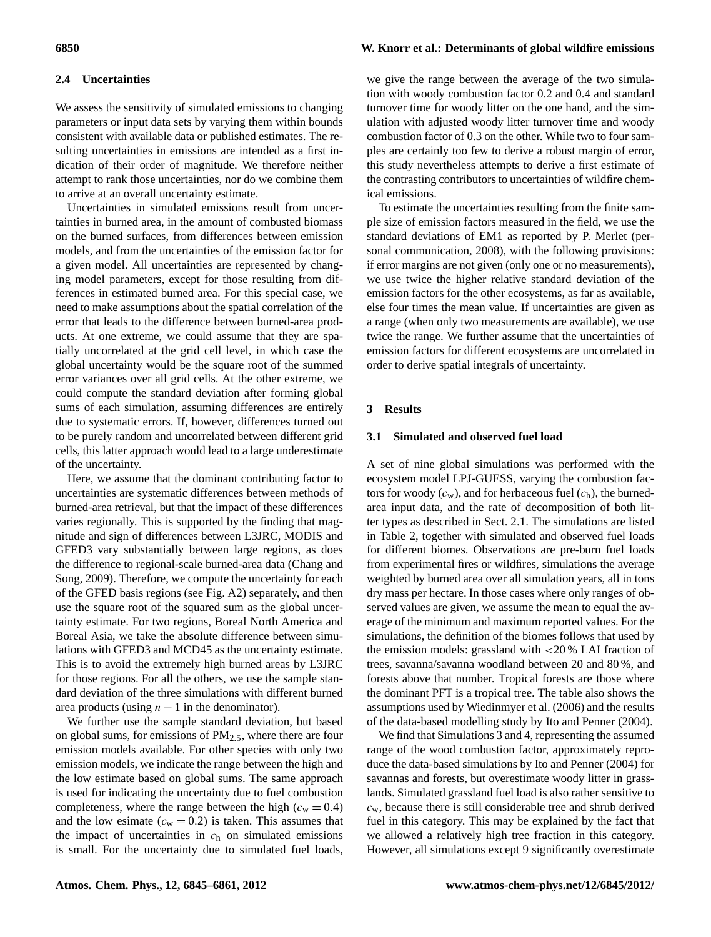# **2.4 Uncertainties**

We assess the sensitivity of simulated emissions to changing parameters or input data sets by varying them within bounds consistent with available data or published estimates. The resulting uncertainties in emissions are intended as a first indication of their order of magnitude. We therefore neither attempt to rank those uncertainties, nor do we combine them to arrive at an overall uncertainty estimate.

Uncertainties in simulated emissions result from uncertainties in burned area, in the amount of combusted biomass on the burned surfaces, from differences between emission models, and from the uncertainties of the emission factor for a given model. All uncertainties are represented by changing model parameters, except for those resulting from differences in estimated burned area. For this special case, we need to make assumptions about the spatial correlation of the error that leads to the difference between burned-area products. At one extreme, we could assume that they are spatially uncorrelated at the grid cell level, in which case the global uncertainty would be the square root of the summed error variances over all grid cells. At the other extreme, we could compute the standard deviation after forming global sums of each simulation, assuming differences are entirely due to systematic errors. If, however, differences turned out to be purely random and uncorrelated between different grid cells, this latter approach would lead to a large underestimate of the uncertainty.

Here, we assume that the dominant contributing factor to uncertainties are systematic differences between methods of burned-area retrieval, but that the impact of these differences varies regionally. This is supported by the finding that magnitude and sign of differences between L3JRC, MODIS and GFED3 vary substantially between large regions, as does the difference to regional-scale burned-area data (Chang and Song, 2009). Therefore, we compute the uncertainty for each of the GFED basis regions (see Fig. A2) separately, and then use the square root of the squared sum as the global uncertainty estimate. For two regions, Boreal North America and Boreal Asia, we take the absolute difference between simulations with GFED3 and MCD45 as the uncertainty estimate. This is to avoid the extremely high burned areas by L3JRC for those regions. For all the others, we use the sample standard deviation of the three simulations with different burned area products (using  $n - 1$  in the denominator).

We further use the sample standard deviation, but based on global sums, for emissions of  $PM_{2.5}$ , where there are four emission models available. For other species with only two emission models, we indicate the range between the high and the low estimate based on global sums. The same approach is used for indicating the uncertainty due to fuel combustion completeness, where the range between the high ( $c_w = 0.4$ ) and the low esimate  $(c_w = 0.2)$  is taken. This assumes that the impact of uncertainties in  $c<sub>h</sub>$  on simulated emissions is small. For the uncertainty due to simulated fuel loads, we give the range between the average of the two simulation with woody combustion factor 0.2 and 0.4 and standard turnover time for woody litter on the one hand, and the simulation with adjusted woody litter turnover time and woody combustion factor of 0.3 on the other. While two to four samples are certainly too few to derive a robust margin of error, this study nevertheless attempts to derive a first estimate of the contrasting contributors to uncertainties of wildfire chemical emissions.

To estimate the uncertainties resulting from the finite sample size of emission factors measured in the field, we use the standard deviations of EM1 as reported by P. Merlet (personal communication, 2008), with the following provisions: if error margins are not given (only one or no measurements), we use twice the higher relative standard deviation of the emission factors for the other ecosystems, as far as available, else four times the mean value. If uncertainties are given as a range (when only two measurements are available), we use twice the range. We further assume that the uncertainties of emission factors for different ecosystems are uncorrelated in order to derive spatial integrals of uncertainty.

# **3 Results**

### **3.1 Simulated and observed fuel load**

A set of nine global simulations was performed with the ecosystem model LPJ-GUESS, varying the combustion factors for woody  $(c_w)$ , and for herbaceous fuel  $(c_h)$ , the burnedarea input data, and the rate of decomposition of both litter types as described in Sect. 2.1. The simulations are listed in Table 2, together with simulated and observed fuel loads for different biomes. Observations are pre-burn fuel loads from experimental fires or wildfires, simulations the average weighted by burned area over all simulation years, all in tons dry mass per hectare. In those cases where only ranges of observed values are given, we assume the mean to equal the average of the minimum and maximum reported values. For the simulations, the definition of the biomes follows that used by the emission models: grassland with  $\langle 20\%$  LAI fraction of trees, savanna/savanna woodland between 20 and 80 %, and forests above that number. Tropical forests are those where the dominant PFT is a tropical tree. The table also shows the assumptions used by Wiedinmyer et al. (2006) and the results of the data-based modelling study by Ito and Penner (2004).

We find that Simulations 3 and 4, representing the assumed range of the wood combustion factor, approximately reproduce the data-based simulations by Ito and Penner (2004) for savannas and forests, but overestimate woody litter in grasslands. Simulated grassland fuel load is also rather sensitive to  $c_w$ , because there is still considerable tree and shrub derived fuel in this category. This may be explained by the fact that we allowed a relatively high tree fraction in this category. However, all simulations except 9 significantly overestimate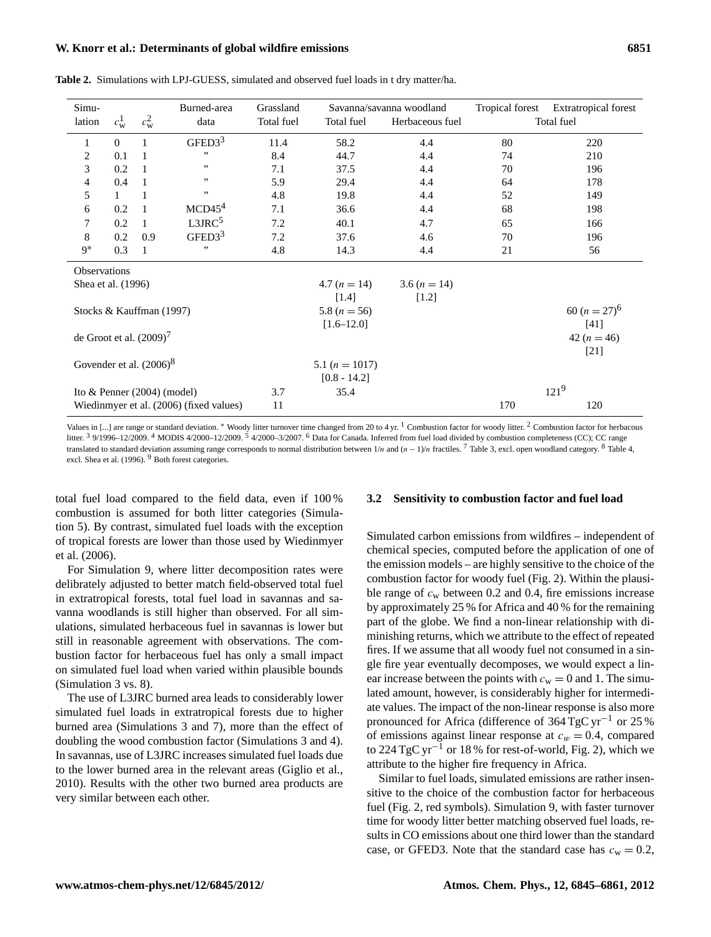| Simu-                                   |                          |               | Burned-area         | Grassland  |                               | Savanna/savanna woodland |                  | Tropical forest Extratropical forest |
|-----------------------------------------|--------------------------|---------------|---------------------|------------|-------------------------------|--------------------------|------------------|--------------------------------------|
| lation                                  | $c_{\rm w}^1$            | $c_{\rm w}^2$ | data                | Total fuel | Total fuel<br>Herbaceous fuel |                          | Total fuel       |                                      |
| 1                                       | $\Omega$                 | 1             | G FED3 <sup>3</sup> | 11.4       | 58.2                          | 4.4                      | 80               | 220                                  |
| 2                                       | 0.1                      | 1             | ,,                  | 8.4        | 44.7                          | 4.4                      | 74               | 210                                  |
| 3                                       | 0.2                      | $\mathbf{1}$  | ,,                  | 7.1        | 37.5                          | 4.4                      | 70               | 196                                  |
| 4                                       | 0.4                      | -1            | ,,                  | 5.9        | 29.4                          | 4.4                      | 64               | 178                                  |
| 5                                       | 1                        | $\mathbf{1}$  | ,,                  | 4.8        | 19.8                          | 4.4                      | 52               | 149                                  |
| 6                                       | 0.2                      | $\mathbf{1}$  | MCD45 <sup>4</sup>  | 7.1        | 36.6                          | 4.4                      | 68               | 198                                  |
| 7                                       | 0.2                      | 1             | L3JRC <sup>5</sup>  | 7.2        | 40.1                          | 4.7                      | 65               | 166                                  |
| 8                                       | 0.2                      | 0.9           | GFED3 <sup>3</sup>  | 7.2        | 37.6                          | 4.6                      | 70               | 196                                  |
| $9*$                                    | 0.3                      | 1             | ,,                  | 4.8        | 14.3                          | 4.4                      | 21               | 56                                   |
| Observations                            |                          |               |                     |            |                               |                          |                  |                                      |
|                                         | Shea et al. (1996)       |               |                     |            | $4.7 (n = 14)$                | $3.6 (n = 14)$           |                  |                                      |
|                                         |                          |               |                     |            | [1.4]                         | [1.2]                    |                  |                                      |
|                                         | Stocks & Kauffman (1997) |               |                     |            | 5.8 $(n = 56)$                |                          |                  | 60 $(n = 27)^6$                      |
|                                         |                          |               |                     |            | $[1.6 - 12.0]$                |                          |                  | $[41]$                               |
| de Groot et al. $(2009)^7$              |                          |               |                     |            |                               |                          | $42 (n = 46)$    |                                      |
|                                         |                          |               |                     |            |                               |                          |                  | $[21]$                               |
| Govender et al. $(2006)^8$              |                          |               |                     |            | 5.1 $(n = 1017)$              |                          |                  |                                      |
|                                         |                          |               |                     |            | $[0.8 - 14.2]$                |                          |                  |                                      |
| Ito $&$ Penner (2004) (model)           |                          |               | 3.7                 | 35.4       |                               |                          | 121 <sup>9</sup> |                                      |
| Wiedinmyer et al. (2006) (fixed values) |                          |               | 11                  |            |                               | 170                      | 120              |                                      |

**Table 2.** Simulations with LPJ-GUESS, simulated and observed fuel loads in t dry matter/ha.

Values in [...] are range or standard deviation. <sup>∗</sup> Woody litter turnover time changed from 20 to 4 yr. <sup>1</sup> Combustion factor for woody litter. <sup>2</sup> Combustion factor for herbacous litter. <sup>3</sup> 9/1996–12/2009. <sup>4</sup> MODIS 4/2000–12/2009. <sup>5</sup> 4/2000–3/2007. <sup>6</sup> Data for Canada. Inferred from fuel load divided by combustion completeness (CC); CC range translated to standard deviation assuming range corresponds to normal distribution between  $1/n$  and  $(n - 1)/n$  fractiles. <sup>7</sup> Table 3, excl. open woodland category. <sup>8</sup> Table 4, excl. Shea et al. (1996). <sup>9</sup> Both forest categories.

total fuel load compared to the field data, even if 100 % combustion is assumed for both litter categories (Simulation 5). By contrast, simulated fuel loads with the exception of tropical forests are lower than those used by Wiedinmyer et al. (2006).

For Simulation 9, where litter decomposition rates were delibrately adjusted to better match field-observed total fuel in extratropical forests, total fuel load in savannas and savanna woodlands is still higher than observed. For all simulations, simulated herbaceous fuel in savannas is lower but still in reasonable agreement with observations. The combustion factor for herbaceous fuel has only a small impact on simulated fuel load when varied within plausible bounds (Simulation 3 vs. 8).

The use of L3JRC burned area leads to considerably lower simulated fuel loads in extratropical forests due to higher burned area (Simulations 3 and 7), more than the effect of doubling the wood combustion factor (Simulations 3 and 4). In savannas, use of L3JRC increases simulated fuel loads due to the lower burned area in the relevant areas (Giglio et al., 2010). Results with the other two burned area products are very similar between each other.

#### **3.2 Sensitivity to combustion factor and fuel load**

Simulated carbon emissions from wildfires – independent of chemical species, computed before the application of one of the emission models – are highly sensitive to the choice of the combustion factor for woody fuel (Fig. 2). Within the plausible range of  $c_w$  between 0.2 and 0.4, fire emissions increase by approximately 25 % for Africa and 40 % for the remaining part of the globe. We find a non-linear relationship with diminishing returns, which we attribute to the effect of repeated fires. If we assume that all woody fuel not consumed in a single fire year eventually decomposes, we would expect a linear increase between the points with  $c_w = 0$  and 1. The simulated amount, however, is considerably higher for intermediate values. The impact of the non-linear response is also more pronounced for Africa (difference of 364 TgC yr<sup>-1</sup> or 25 % of emissions against linear response at  $c_w = 0.4$ , compared to 224 TgC  $yr^{-1}$  or 18% for rest-of-world, Fig. 2), which we attribute to the higher fire frequency in Africa.

Similar to fuel loads, simulated emissions are rather insensitive to the choice of the combustion factor for herbaceous fuel (Fig. 2, red symbols). Simulation 9, with faster turnover time for woody litter better matching observed fuel loads, results in CO emissions about one third lower than the standard case, or GFED3. Note that the standard case has  $c_w = 0.2$ ,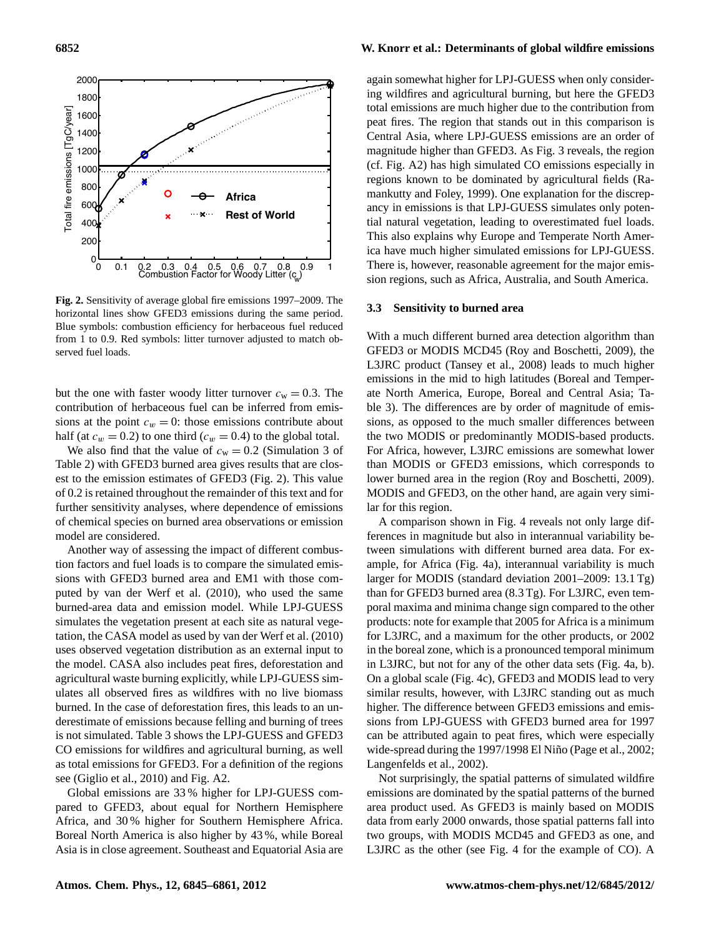

**Fig. 2.** Sensitivity of average global fire emissions 1997–2009. The horizontal lines show GFED3 emissions during the same period. Blue symbols: combustion efficiency for herbaceous fuel reduced from 1 to 0.9. Red symbols: litter turnover adjusted to match observed fuel loads.

but the one with faster woody litter turnover  $c_w = 0.3$ . The contribution of herbaceous fuel can be inferred from emissions at the point  $c_w = 0$ : those emissions contribute about half (at  $c_w = 0.2$ ) to one third ( $c_w = 0.4$ ) to the global total.

We also find that the value of  $c_w = 0.2$  (Simulation 3 of Table 2) with GFED3 burned area gives results that are closest to the emission estimates of GFED3 (Fig. 2). This value of 0.2 is retained throughout the remainder of this text and for further sensitivity analyses, where dependence of emissions of chemical species on burned area observations or emission model are considered.

Another way of assessing the impact of different combustion factors and fuel loads is to compare the simulated emissions with GFED3 burned area and EM1 with those computed by van der Werf et al. (2010), who used the same burned-area data and emission model. While LPJ-GUESS simulates the vegetation present at each site as natural vegetation, the CASA model as used by van der Werf et al. (2010) uses observed vegetation distribution as an external input to the model. CASA also includes peat fires, deforestation and agricultural waste burning explicitly, while LPJ-GUESS simulates all observed fires as wildfires with no live biomass burned. In the case of deforestation fires, this leads to an underestimate of emissions because felling and burning of trees is not simulated. Table 3 shows the LPJ-GUESS and GFED3 CO emissions for wildfires and agricultural burning, as well as total emissions for GFED3. For a definition of the regions see (Giglio et al., 2010) and Fig. A2.

Global emissions are 33 % higher for LPJ-GUESS compared to GFED3, about equal for Northern Hemisphere Africa, and 30 % higher for Southern Hemisphere Africa. Boreal North America is also higher by 43 %, while Boreal Asia is in close agreement. Southeast and Equatorial Asia are

#### **6852 W. Knorr et al.: Determinants of global wildfire emissions**

again somewhat higher for LPJ-GUESS when only considering wildfires and agricultural burning, but here the GFED3 total emissions are much higher due to the contribution from peat fires. The region that stands out in this comparison is Central Asia, where LPJ-GUESS emissions are an order of magnitude higher than GFED3. As Fig. 3 reveals, the region (cf. Fig. A2) has high simulated CO emissions especially in regions known to be dominated by agricultural fields (Ramankutty and Foley, 1999). One explanation for the discrepancy in emissions is that LPJ-GUESS simulates only potential natural vegetation, leading to overestimated fuel loads. This also explains why Europe and Temperate North America have much higher simulated emissions for LPJ-GUESS. There is, however, reasonable agreement for the major emission regions, such as Africa, Australia, and South America.

#### **3.3 Sensitivity to burned area**

With a much different burned area detection algorithm than GFED3 or MODIS MCD45 (Roy and Boschetti, 2009), the L3JRC product (Tansey et al., 2008) leads to much higher emissions in the mid to high latitudes (Boreal and Temperate North America, Europe, Boreal and Central Asia; Table 3). The differences are by order of magnitude of emissions, as opposed to the much smaller differences between the two MODIS or predominantly MODIS-based products. For Africa, however, L3JRC emissions are somewhat lower than MODIS or GFED3 emissions, which corresponds to lower burned area in the region (Roy and Boschetti, 2009). MODIS and GFED3, on the other hand, are again very similar for this region.

A comparison shown in Fig. 4 reveals not only large differences in magnitude but also in interannual variability between simulations with different burned area data. For example, for Africa (Fig. 4a), interannual variability is much larger for MODIS (standard deviation 2001–2009: 13.1 Tg) than for GFED3 burned area (8.3 Tg). For L3JRC, even temporal maxima and minima change sign compared to the other products: note for example that 2005 for Africa is a minimum for L3JRC, and a maximum for the other products, or 2002 in the boreal zone, which is a pronounced temporal minimum in L3JRC, but not for any of the other data sets (Fig. 4a, b). On a global scale (Fig. 4c), GFED3 and MODIS lead to very similar results, however, with L3JRC standing out as much higher. The difference between GFED3 emissions and emissions from LPJ-GUESS with GFED3 burned area for 1997 can be attributed again to peat fires, which were especially wide-spread during the 1997/1998 El Niño (Page et al., 2002; Langenfelds et al., 2002).

Not surprisingly, the spatial patterns of simulated wildfire emissions are dominated by the spatial patterns of the burned area product used. As GFED3 is mainly based on MODIS data from early 2000 onwards, those spatial patterns fall into two groups, with MODIS MCD45 and GFED3 as one, and L3JRC as the other (see Fig. 4 for the example of CO). A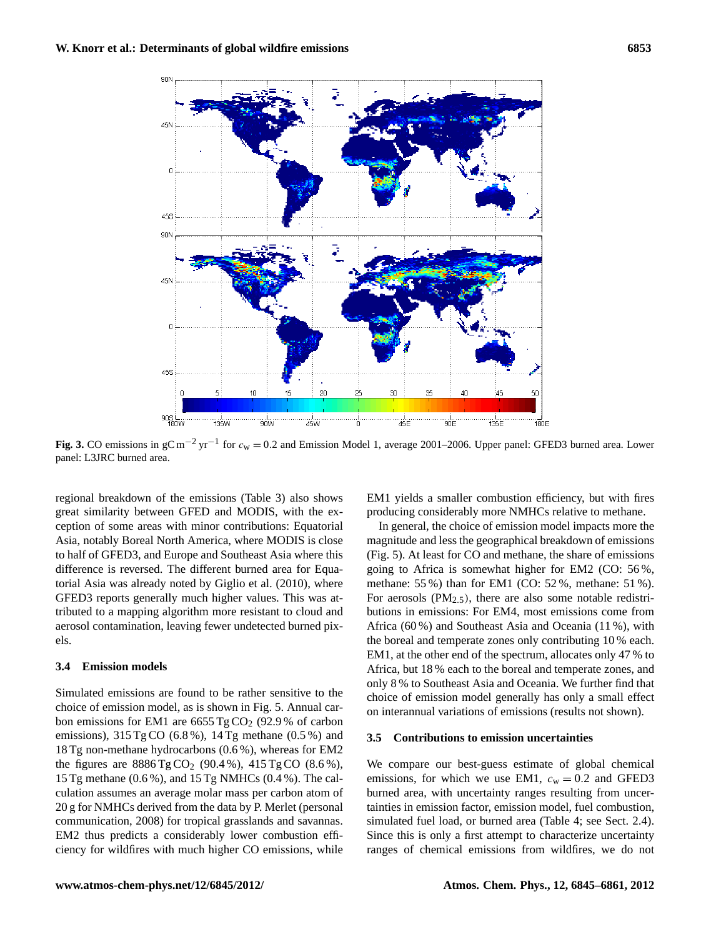

**Fig. 3.** CO emissions in  $gC m^{-2} yr^{-1}$  for  $c_w = 0.2$  and Emission Model 1, average 2001–2006. Upper panel: GFED3 burned area. Lower panel: L3JRC burned area.

regional breakdown of the emissions (Table 3) also shows great similarity between GFED and MODIS, with the exception of some areas with minor contributions: Equatorial Asia, notably Boreal North America, where MODIS is close to half of GFED3, and Europe and Southeast Asia where this difference is reversed. The different burned area for Equatorial Asia was already noted by Giglio et al. (2010), where GFED3 reports generally much higher values. This was attributed to a mapping algorithm more resistant to cloud and aerosol contamination, leaving fewer undetected burned pixels.

# **3.4 Emission models**

Simulated emissions are found to be rather sensitive to the choice of emission model, as is shown in Fig. 5. Annual carbon emissions for EM1 are  $6655 \text{ Tg} \text{CO}_2$  (92.9% of carbon emissions),  $315 \text{ Tg} \text{CO}$  (6.8%),  $14 \text{ Tg}$  methane (0.5%) and 18 Tg non-methane hydrocarbons (0.6 %), whereas for EM2 the figures are  $8886 \text{ Tg} \text{CO}_2$  (90.4 %), 415 Tg CO (8.6 %), 15 Tg methane (0.6 %), and 15 Tg NMHCs (0.4 %). The calculation assumes an average molar mass per carbon atom of 20 g for NMHCs derived from the data by P. Merlet (personal communication, 2008) for tropical grasslands and savannas. EM2 thus predicts a considerably lower combustion efficiency for wildfires with much higher CO emissions, while EM1 yields a smaller combustion efficiency, but with fires producing considerably more NMHCs relative to methane.

In general, the choice of emission model impacts more the magnitude and less the geographical breakdown of emissions (Fig. 5). At least for CO and methane, the share of emissions going to Africa is somewhat higher for EM2 (CO: 56 %, methane: 55 %) than for EM1 (CO: 52 %, methane: 51 %). For aerosols  $(PM_{2.5})$ , there are also some notable redistributions in emissions: For EM4, most emissions come from Africa (60 %) and Southeast Asia and Oceania (11 %), with the boreal and temperate zones only contributing 10 % each. EM1, at the other end of the spectrum, allocates only 47 % to Africa, but 18 % each to the boreal and temperate zones, and only 8 % to Southeast Asia and Oceania. We further find that choice of emission model generally has only a small effect on interannual variations of emissions (results not shown).

### **3.5 Contributions to emission uncertainties**

We compare our best-guess estimate of global chemical emissions, for which we use EM1,  $c_w = 0.2$  and GFED3 burned area, with uncertainty ranges resulting from uncertainties in emission factor, emission model, fuel combustion, simulated fuel load, or burned area (Table 4; see Sect. 2.4). Since this is only a first attempt to characterize uncertainty ranges of chemical emissions from wildfires, we do not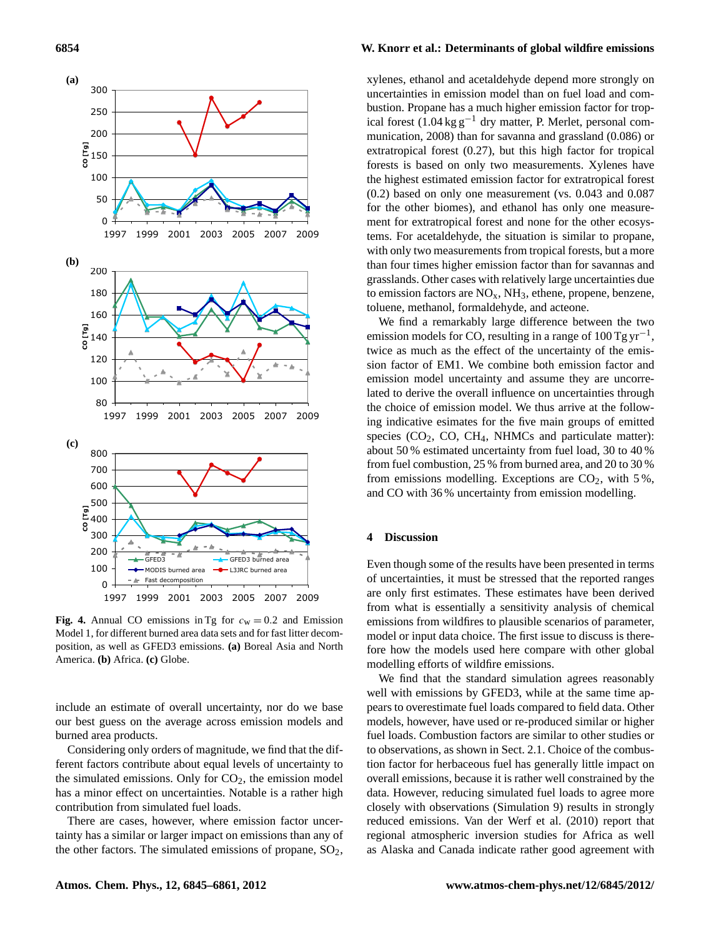

**Fig. 4.** Annual CO emissions in Tg for  $c_w = 0.2$  and Emission Model 1, for different burned area data sets and for fast litter decomposition, as well as GFED3 emissions. **(a)** Boreal Asia and North America. **(b)** Africa. **(c)** Globe.

include an estimate of overall uncertainty, nor do we base our best guess on the average across emission models and burned area products.

Considering only orders of magnitude, we find that the different factors contribute about equal levels of uncertainty to the simulated emissions. Only for  $CO<sub>2</sub>$ , the emission model has a minor effect on uncertainties. Notable is a rather high contribution from simulated fuel loads.

There are cases, however, where emission factor uncertainty has a similar or larger impact on emissions than any of the other factors. The simulated emissions of propane,  $SO<sub>2</sub>$ ,

# **6854 W. Knorr et al.: Determinants of global wildfire emissions**

xylenes, ethanol and acetaldehyde depend more strongly on uncertainties in emission model than on fuel load and combustion. Propane has a much higher emission factor for tropical forest (1.04 kg  $g^{-1}$  dry matter, P. Merlet, personal communication, 2008) than for savanna and grassland (0.086) or extratropical forest (0.27), but this high factor for tropical forests is based on only two measurements. Xylenes have the highest estimated emission factor for extratropical forest (0.2) based on only one measurement (vs. 0.043 and 0.087 for the other biomes), and ethanol has only one measurement for extratropical forest and none for the other ecosystems. For acetaldehyde, the situation is similar to propane, with only two measurements from tropical forests, but a more than four times higher emission factor than for savannas and grasslands. Other cases with relatively large uncertainties due to emission factors are  $NO<sub>x</sub>$ ,  $NH<sub>3</sub>$ , ethene, propene, benzene, toluene, methanol, formaldehyde, and acteone.

We find a remarkably large difference between the two emission models for CO, resulting in a range of  $100 \text{ Tg yr}^{-1}$ , twice as much as the effect of the uncertainty of the emission factor of EM1. We combine both emission factor and emission model uncertainty and assume they are uncorrelated to derive the overall influence on uncertainties through the choice of emission model. We thus arrive at the following indicative esimates for the five main groups of emitted species  $(CO_2, CO, CH_4, NHMCs$  and particulate matter): about 50 % estimated uncertainty from fuel load, 30 to 40 % from fuel combustion, 25 % from burned area, and 20 to 30 % from emissions modelling. Exceptions are  $CO<sub>2</sub>$ , with 5%, and CO with 36 % uncertainty from emission modelling.

#### **4 Discussion**

Even though some of the results have been presented in terms of uncertainties, it must be stressed that the reported ranges are only first estimates. These estimates have been derived from what is essentially a sensitivity analysis of chemical emissions from wildfires to plausible scenarios of parameter, model or input data choice. The first issue to discuss is therefore how the models used here compare with other global modelling efforts of wildfire emissions.

We find that the standard simulation agrees reasonably well with emissions by GFED3, while at the same time appears to overestimate fuel loads compared to field data. Other models, however, have used or re-produced similar or higher fuel loads. Combustion factors are similar to other studies or to observations, as shown in Sect. 2.1. Choice of the combustion factor for herbaceous fuel has generally little impact on overall emissions, because it is rather well constrained by the data. However, reducing simulated fuel loads to agree more closely with observations (Simulation 9) results in strongly reduced emissions. Van der Werf et al. (2010) report that regional atmospheric inversion studies for Africa as well as Alaska and Canada indicate rather good agreement with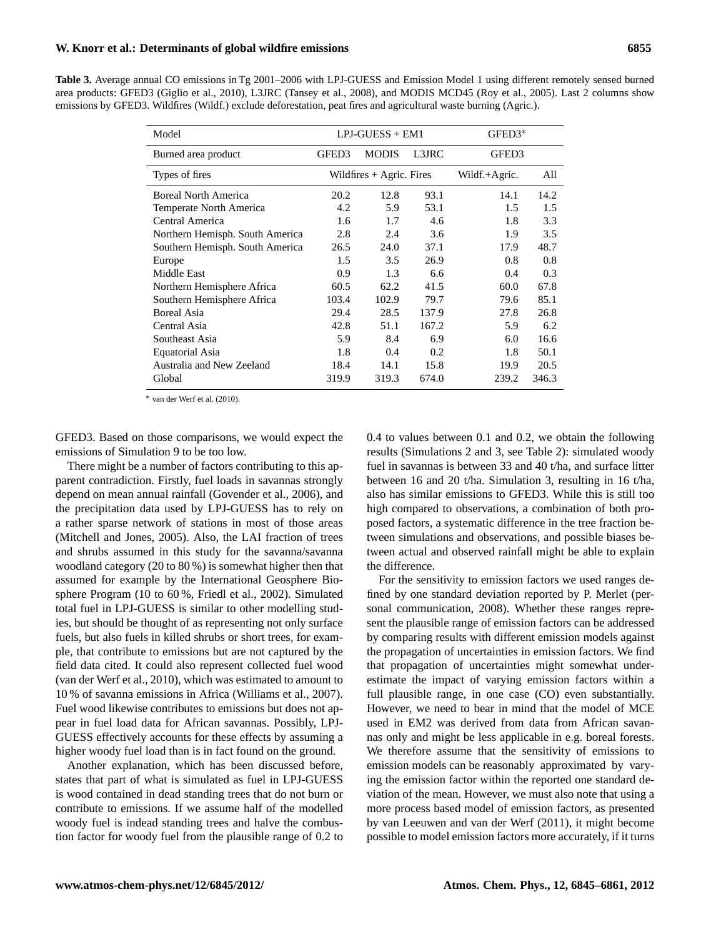**Table 3.** Average annual CO emissions in Tg 2001–2006 with LPJ-GUESS and Emission Model 1 using different remotely sensed burned area products: GFED3 (Giglio et al., 2010), L3JRC (Tansey et al., 2008), and MODIS MCD45 (Roy et al., 2005). Last 2 columns show emissions by GFED3. Wildfires (Wildf.) exclude deforestation, peat fires and agricultural waste burning (Agric.).

| Model                           |                            | $LPI-GUESS + EM1$ | $GFED3*$ |               |       |
|---------------------------------|----------------------------|-------------------|----------|---------------|-------|
| Burned area product             | GFED3                      | <b>MODIS</b>      | L3JRC    | GFED3         |       |
| Types of fires                  | Wildfires $+$ Agric. Fires |                   |          | Wildf.+Agric. | All   |
| <b>Boreal North America</b>     | 20.2                       | 12.8              | 93.1     | 14.1          | 14.2  |
| Temperate North America         | 4.2                        | 5.9               | 53.1     | 1.5           | 1.5   |
| Central America                 | 1.6                        | 1.7               | 4.6      | 1.8           | 3.3   |
| Northern Hemisph. South America | 2.8                        | 2.4               | 3.6      | 1.9           | 3.5   |
| Southern Hemisph. South America | 26.5                       | 24.0              | 37.1     | 17.9          | 48.7  |
| Europe                          | 1.5                        | 3.5               | 26.9     | 0.8           | 0.8   |
| Middle East                     | 0.9                        | 1.3               | 6.6      | 0.4           | 0.3   |
| Northern Hemisphere Africa      | 60.5                       | 62.2              | 41.5     | 60.0          | 67.8  |
| Southern Hemisphere Africa      | 103.4                      | 102.9             | 79.7     | 79.6          | 85.1  |
| Boreal Asia                     | 29.4                       | 28.5              | 137.9    | 27.8          | 26.8  |
| Central Asia                    | 42.8                       | 51.1              | 167.2    | 5.9           | 6.2   |
| Southeast Asia                  | 5.9                        | 8.4               | 6.9      | 6.0           | 16.6  |
| Equatorial Asia                 | 1.8                        | 0.4               | 0.2      | 1.8           | 50.1  |
| Australia and New Zeeland       | 18.4                       | 14.1              | 15.8     | 19.9          | 20.5  |
| Global                          | 319.9                      | 319.3             | 674.0    | 239.2         | 346.3 |

<sup>∗</sup> van der Werf et al. (2010).

GFED3. Based on those comparisons, we would expect the emissions of Simulation 9 to be too low.

There might be a number of factors contributing to this apparent contradiction. Firstly, fuel loads in savannas strongly depend on mean annual rainfall (Govender et al., 2006), and the precipitation data used by LPJ-GUESS has to rely on a rather sparse network of stations in most of those areas (Mitchell and Jones, 2005). Also, the LAI fraction of trees and shrubs assumed in this study for the savanna/savanna woodland category (20 to 80 %) is somewhat higher then that assumed for example by the International Geosphere Biosphere Program (10 to 60 %, Friedl et al., 2002). Simulated total fuel in LPJ-GUESS is similar to other modelling studies, but should be thought of as representing not only surface fuels, but also fuels in killed shrubs or short trees, for example, that contribute to emissions but are not captured by the field data cited. It could also represent collected fuel wood (van der Werf et al., 2010), which was estimated to amount to 10 % of savanna emissions in Africa (Williams et al., 2007). Fuel wood likewise contributes to emissions but does not appear in fuel load data for African savannas. Possibly, LPJ-GUESS effectively accounts for these effects by assuming a higher woody fuel load than is in fact found on the ground.

Another explanation, which has been discussed before, states that part of what is simulated as fuel in LPJ-GUESS is wood contained in dead standing trees that do not burn or contribute to emissions. If we assume half of the modelled woody fuel is indead standing trees and halve the combustion factor for woody fuel from the plausible range of 0.2 to 0.4 to values between 0.1 and 0.2, we obtain the following results (Simulations 2 and 3, see Table 2): simulated woody fuel in savannas is between 33 and 40 t/ha, and surface litter between 16 and 20 t/ha. Simulation 3, resulting in 16 t/ha, also has similar emissions to GFED3. While this is still too high compared to observations, a combination of both proposed factors, a systematic difference in the tree fraction between simulations and observations, and possible biases between actual and observed rainfall might be able to explain the difference.

For the sensitivity to emission factors we used ranges defined by one standard deviation reported by P. Merlet (personal communication, 2008). Whether these ranges represent the plausible range of emission factors can be addressed by comparing results with different emission models against the propagation of uncertainties in emission factors. We find that propagation of uncertainties might somewhat underestimate the impact of varying emission factors within a full plausible range, in one case (CO) even substantially. However, we need to bear in mind that the model of MCE used in EM2 was derived from data from African savannas only and might be less applicable in e.g. boreal forests. We therefore assume that the sensitivity of emissions to emission models can be reasonably approximated by varying the emission factor within the reported one standard deviation of the mean. However, we must also note that using a more process based model of emission factors, as presented by van Leeuwen and van der Werf (2011), it might become possible to model emission factors more accurately, if it turns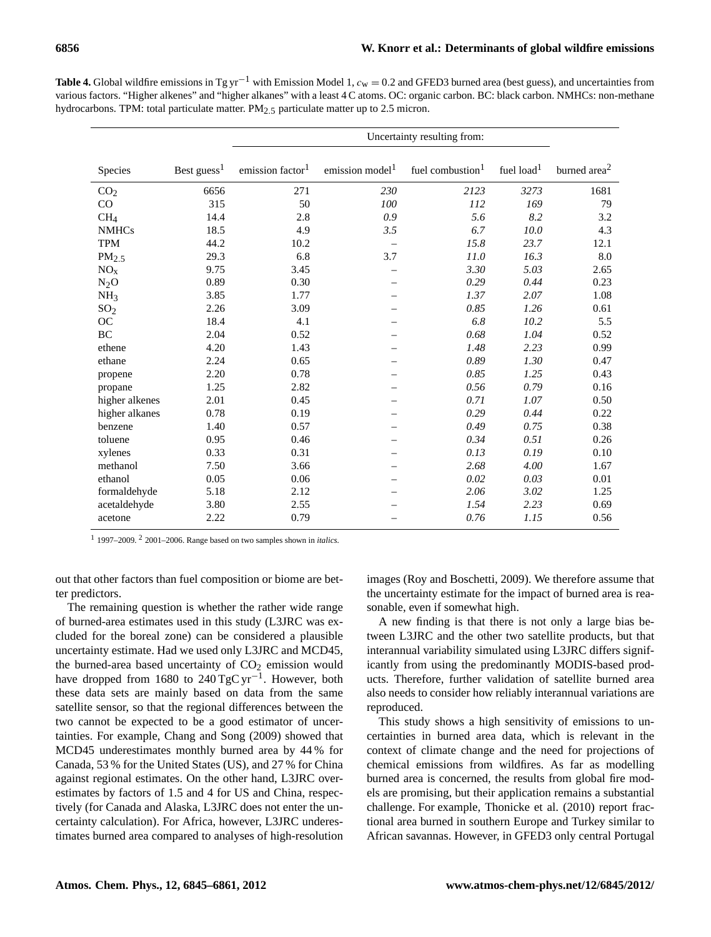**Table 4.** Global wildfire emissions in Tg yr<sup>−1</sup> with Emission Model 1,  $c_w = 0.2$  and GFED3 burned area (best guess), and uncertainties from various factors. "Higher alkenes" and "higher alkanes" with a least 4 C atoms. OC: organic carbon. BC: black carbon. NMHCs: non-methane hydrocarbons. TPM: total particulate matter.  $PM_{2.5}$  particulate matter up to 2.5 micron.

| Species           | Best guess <sup>1</sup> | emission factor <sup>1</sup> | emission model <sup>1</sup> | fuel combustion <sup>1</sup> | fuel load <sup>1</sup> | burned area $2$ |
|-------------------|-------------------------|------------------------------|-----------------------------|------------------------------|------------------------|-----------------|
| CO <sub>2</sub>   | 6656                    | 271                          | 230                         | 2123                         | 3273                   | 1681            |
| CO                | 315                     | 50                           | 100                         | 112                          | 169                    | 79              |
| CH <sub>4</sub>   | 14.4                    | 2.8                          | 0.9                         | 5.6                          | 8.2                    | 3.2             |
| <b>NMHCs</b>      | 18.5                    | 4.9                          | 3.5                         | 6.7                          | 10.0                   | 4.3             |
| <b>TPM</b>        | 44.2                    | 10.2                         |                             | 15.8                         | 23.7                   | 12.1            |
| PM <sub>2.5</sub> | 29.3                    | 6.8                          | 3.7                         | 11.0                         | 16.3                   | 8.0             |
| NO <sub>x</sub>   | 9.75                    | 3.45                         | $\overline{\phantom{0}}$    | 3.30                         | 5.03                   | 2.65            |
| $N_2O$            | 0.89                    | 0.30                         | —                           | 0.29                         | 0.44                   | 0.23            |
| NH <sub>3</sub>   | 3.85                    | 1.77                         | $\overline{\phantom{0}}$    | 1.37                         | 2.07                   | 1.08            |
| SO <sub>2</sub>   | 2.26                    | 3.09                         |                             | 0.85                         | 1.26                   | 0.61            |
| <b>OC</b>         | 18.4                    | 4.1                          | $\overline{\phantom{0}}$    | 6.8                          | 10.2                   | 5.5             |
| BC                | 2.04                    | 0.52                         |                             | 0.68                         | 1.04                   | 0.52            |
| ethene            | 4.20                    | 1.43                         | -                           | 1.48                         | 2.23                   | 0.99            |
| ethane            | 2.24                    | 0.65                         |                             | 0.89                         | 1.30                   | 0.47            |
| propene           | 2.20                    | 0.78                         |                             | 0.85                         | 1.25                   | 0.43            |
| propane           | 1.25                    | 2.82                         |                             | 0.56                         | 0.79                   | 0.16            |
| higher alkenes    | 2.01                    | 0.45                         |                             | 0.71                         | 1.07                   | 0.50            |
| higher alkanes    | 0.78                    | 0.19                         |                             | 0.29                         | 0.44                   | 0.22            |
| benzene           | 1.40                    | 0.57                         |                             | 0.49                         | 0.75                   | 0.38            |
| toluene           | 0.95                    | 0.46                         |                             | 0.34                         | 0.51                   | 0.26            |
| xylenes           | 0.33                    | 0.31                         | -                           | 0.13                         | 0.19                   | 0.10            |
| methanol          | 7.50                    | 3.66                         |                             | 2.68                         | 4.00                   | 1.67            |
| ethanol           | 0.05                    | 0.06                         |                             | 0.02                         | 0.03                   | 0.01            |
| formaldehyde      | 5.18                    | 2.12                         |                             | 2.06                         | 3.02                   | 1.25            |
| acetaldehyde      | 3.80                    | 2.55                         |                             | 1.54                         | 2.23                   | 0.69            |
| acetone           | 2.22                    | 0.79                         |                             | 0.76                         | 1.15                   | 0.56            |

<sup>1</sup> 1997–2009. <sup>2</sup> 2001–2006. Range based on two samples shown in *italics.*

out that other factors than fuel composition or biome are better predictors.

The remaining question is whether the rather wide range of burned-area estimates used in this study (L3JRC was excluded for the boreal zone) can be considered a plausible uncertainty estimate. Had we used only L3JRC and MCD45, the burned-area based uncertainty of  $CO<sub>2</sub>$  emission would have dropped from 1680 to 240 TgC yr<sup>-1</sup>. However, both these data sets are mainly based on data from the same satellite sensor, so that the regional differences between the two cannot be expected to be a good estimator of uncertainties. For example, Chang and Song (2009) showed that MCD45 underestimates monthly burned area by 44 % for Canada, 53 % for the United States (US), and 27 % for China against regional estimates. On the other hand, L3JRC overestimates by factors of 1.5 and 4 for US and China, respectively (for Canada and Alaska, L3JRC does not enter the uncertainty calculation). For Africa, however, L3JRC underestimates burned area compared to analyses of high-resolution images (Roy and Boschetti, 2009). We therefore assume that the uncertainty estimate for the impact of burned area is reasonable, even if somewhat high.

A new finding is that there is not only a large bias between L3JRC and the other two satellite products, but that interannual variability simulated using L3JRC differs significantly from using the predominantly MODIS-based products. Therefore, further validation of satellite burned area also needs to consider how reliably interannual variations are reproduced.

This study shows a high sensitivity of emissions to uncertainties in burned area data, which is relevant in the context of climate change and the need for projections of chemical emissions from wildfires. As far as modelling burned area is concerned, the results from global fire models are promising, but their application remains a substantial challenge. For example, Thonicke et al. (2010) report fractional area burned in southern Europe and Turkey similar to African savannas. However, in GFED3 only central Portugal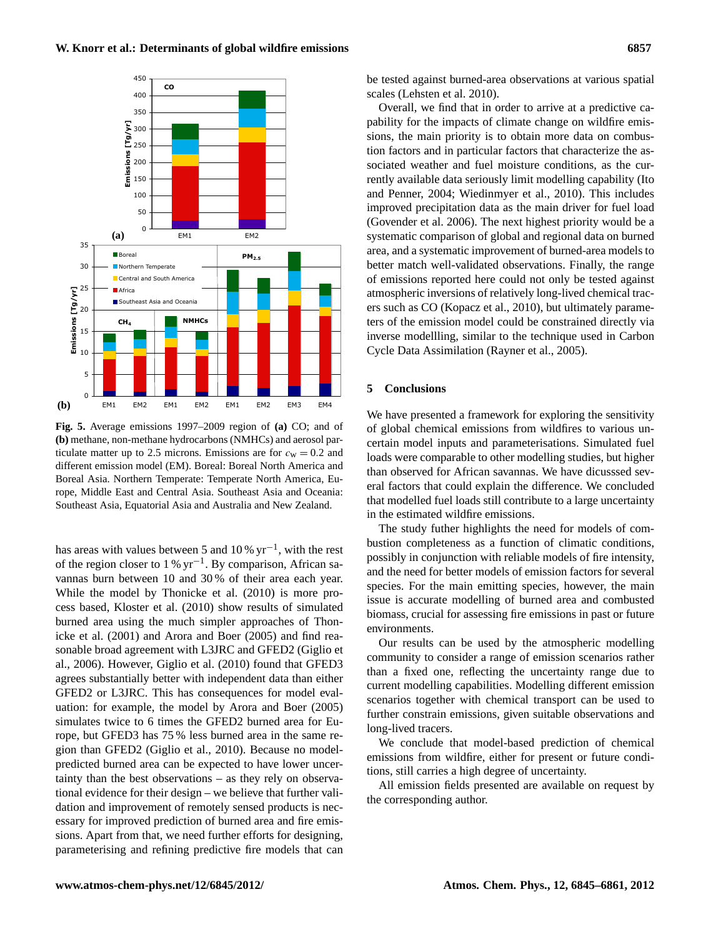

**Fig. 5.** Average emissions 1997–2009 region of **(a)** CO; and of **(b)** methane, non-methane hydrocarbons (NMHCs) and aerosol particulate matter up to 2.5 microns. Emissions are for  $c_w = 0.2$  and different emission model (EM). Boreal: Boreal North America and Boreal Asia. Northern Temperate: Temperate North America, Europe, Middle East and Central Asia. Southeast Asia and Oceania: Southeast Asia, Equatorial Asia and Australia and New Zealand.

has areas with values between 5 and 10%  $yr^{-1}$ , with the rest of the region closer to 1 % yr<sup>-1</sup>. By comparison, African savannas burn between 10 and 30 % of their area each year. While the model by Thonicke et al. (2010) is more process based, Kloster et al. (2010) show results of simulated burned area using the much simpler approaches of Thonicke et al. (2001) and Arora and Boer (2005) and find reasonable broad agreement with L3JRC and GFED2 (Giglio et al., 2006). However, Giglio et al. (2010) found that GFED3 agrees substantially better with independent data than either GFED2 or L3JRC. This has consequences for model evaluation: for example, the model by Arora and Boer (2005) simulates twice to 6 times the GFED2 burned area for Europe, but GFED3 has 75 % less burned area in the same region than GFED2 (Giglio et al., 2010). Because no modelpredicted burned area can be expected to have lower uncertainty than the best observations – as they rely on observational evidence for their design – we believe that further validation and improvement of remotely sensed products is necessary for improved prediction of burned area and fire emissions. Apart from that, we need further efforts for designing, parameterising and refining predictive fire models that can be tested against burned-area observations at various spatial scales (Lehsten et al. 2010).

Overall, we find that in order to arrive at a predictive capability for the impacts of climate change on wildfire emissions, the main priority is to obtain more data on combustion factors and in particular factors that characterize the associated weather and fuel moisture conditions, as the currently available data seriously limit modelling capability (Ito and Penner, 2004; Wiedinmyer et al., 2010). This includes improved precipitation data as the main driver for fuel load (Govender et al. 2006). The next highest priority would be a systematic comparison of global and regional data on burned area, and a systematic improvement of burned-area models to better match well-validated observations. Finally, the range of emissions reported here could not only be tested against atmospheric inversions of relatively long-lived chemical tracers such as CO (Kopacz et al., 2010), but ultimately parameters of the emission model could be constrained directly via inverse modellling, similar to the technique used in Carbon Cycle Data Assimilation (Rayner et al., 2005).

# **5 Conclusions**

We have presented a framework for exploring the sensitivity of global chemical emissions from wildfires to various uncertain model inputs and parameterisations. Simulated fuel loads were comparable to other modelling studies, but higher than observed for African savannas. We have dicusssed several factors that could explain the difference. We concluded that modelled fuel loads still contribute to a large uncertainty in the estimated wildfire emissions.

The study futher highlights the need for models of combustion completeness as a function of climatic conditions, possibly in conjunction with reliable models of fire intensity, and the need for better models of emission factors for several species. For the main emitting species, however, the main issue is accurate modelling of burned area and combusted biomass, crucial for assessing fire emissions in past or future environments.

Our results can be used by the atmospheric modelling community to consider a range of emission scenarios rather than a fixed one, reflecting the uncertainty range due to current modelling capabilities. Modelling different emission scenarios together with chemical transport can be used to further constrain emissions, given suitable observations and long-lived tracers.

We conclude that model-based prediction of chemical emissions from wildfire, either for present or future conditions, still carries a high degree of uncertainty.

All emission fields presented are available on request by the corresponding author.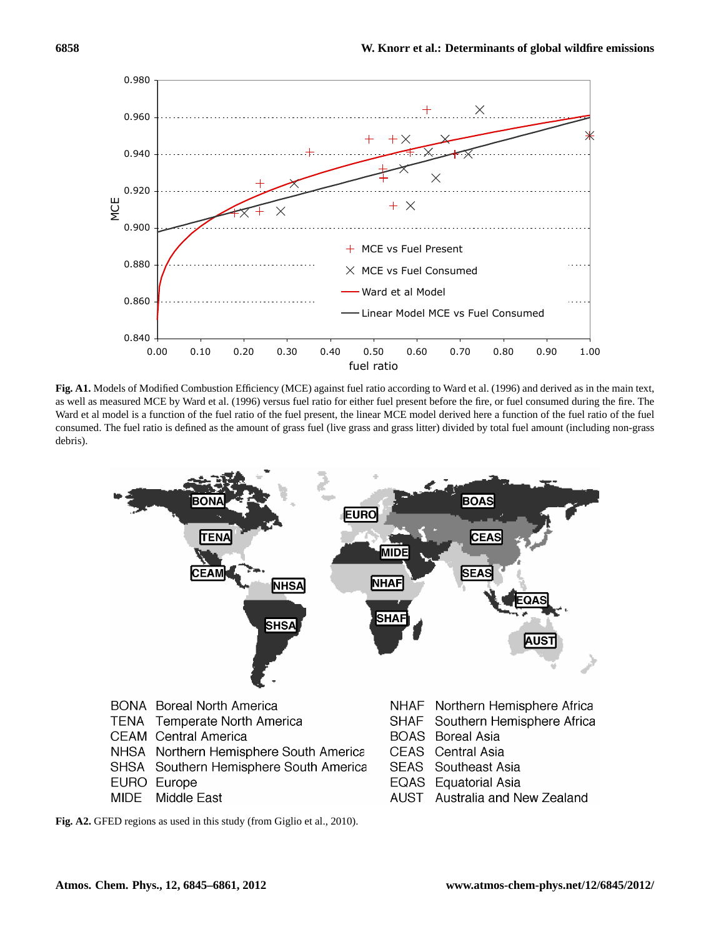

**Fig. A1.** Models of Modified Combustion Efficiency (MCE) against fuel ratio according to Ward et al. (1996) and derived as in the main text, as well as measured MCE by Ward et al. (1996) versus fuel ratio for either fuel present before the fire, or fuel consumed during the fire. The Ward et al model is a function of the fuel ratio of the fuel present, the linear MCE model derived here a function of the fuel ratio of the fuel consumed. The fuel ratio is defined as the amount of grass fuel (live grass and grass litter) divided by total fuel amount (including non-grass debris).



**Fig. A2.** GFED regions as used in this study (from Giglio et al., 2010).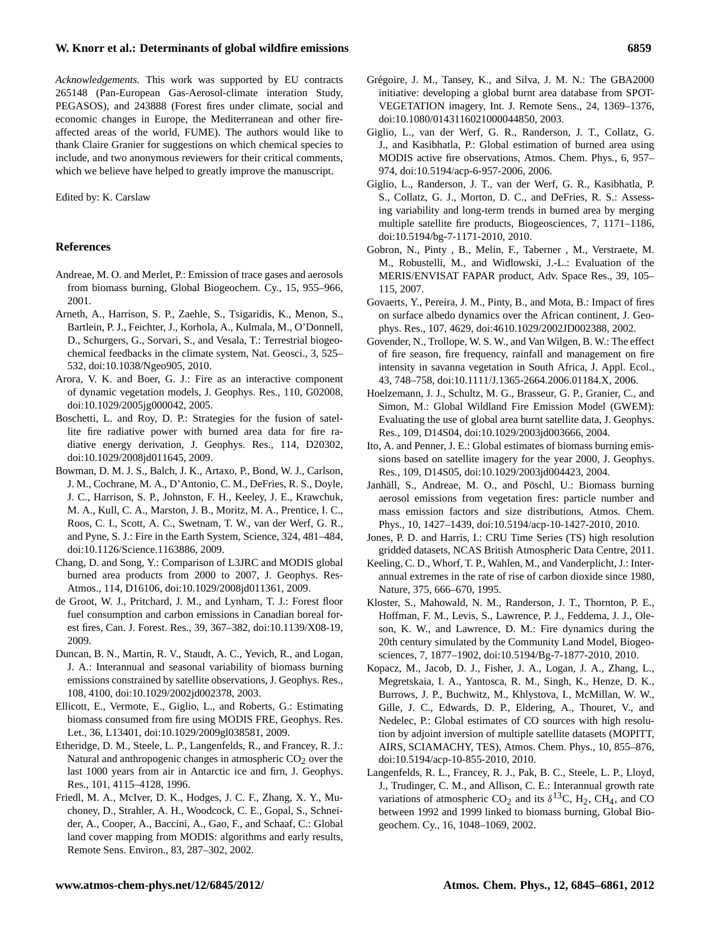*Acknowledgements.* This work was supported by EU contracts 265148 (Pan-European Gas-Aerosol-climate interation Study, PEGASOS), and 243888 (Forest fires under climate, social and economic changes in Europe, the Mediterranean and other fireaffected areas of the world, FUME). The authors would like to thank Claire Granier for suggestions on which chemical species to include, and two anonymous reviewers for their critical comments, which we believe have helped to greatly improve the manuscript.

### Edited by: K. Carslaw

#### **References**

- Andreae, M. O. and Merlet, P.: Emission of trace gases and aerosols from biomass burning, Global Biogeochem. Cy., 15, 955–966, 2001.
- Arneth, A., Harrison, S. P., Zaehle, S., Tsigaridis, K., Menon, S., Bartlein, P. J., Feichter, J., Korhola, A., Kulmala, M., O'Donnell, D., Schurgers, G., Sorvari, S., and Vesala, T.: Terrestrial biogeochemical feedbacks in the climate system, Nat. Geosci., 3, 525– 532, [doi:10.1038/Ngeo905,](http://dx.doi.org/10.1038/Ngeo905) 2010.
- Arora, V. K. and Boer, G. J.: Fire as an interactive component of dynamic vegetation models, J. Geophys. Res., 110, G02008, [doi:10.1029/2005jg000042,](http://dx.doi.org/10.1029/2005jg000042) 2005.
- Boschetti, L. and Roy, D. P.: Strategies for the fusion of satellite fire radiative power with burned area data for fire radiative energy derivation, J. Geophys. Res., 114, D20302, [doi:10.1029/2008jd011645,](http://dx.doi.org/10.1029/2008jd011645) 2009.
- Bowman, D. M. J. S., Balch, J. K., Artaxo, P., Bond, W. J., Carlson, J. M., Cochrane, M. A., D'Antonio, C. M., DeFries, R. S., Doyle, J. C., Harrison, S. P., Johnston, F. H., Keeley, J. E., Krawchuk, M. A., Kull, C. A., Marston, J. B., Moritz, M. A., Prentice, I. C., Roos, C. I., Scott, A. C., Swetnam, T. W., van der Werf, G. R., and Pyne, S. J.: Fire in the Earth System, Science, 324, 481–484, [doi:10.1126/Science.1163886,](http://dx.doi.org/10.1126/Science.1163886) 2009.
- Chang, D. and Song, Y.: Comparison of L3JRC and MODIS global burned area products from 2000 to 2007, J. Geophys. Res-Atmos., 114, D16106, [doi:10.1029/2008jd011361,](http://dx.doi.org/10.1029/2008jd011361) 2009.
- de Groot, W. J., Pritchard, J. M., and Lynham, T. J.: Forest floor fuel consumption and carbon emissions in Canadian boreal forest fires, Can. J. Forest. Res., 39, 367–382, [doi:10.1139/X08-19,](http://dx.doi.org/10.1139/X08-19) 2009.
- Duncan, B. N., Martin, R. V., Staudt, A. C., Yevich, R., and Logan, J. A.: Interannual and seasonal variability of biomass burning emissions constrained by satellite observations, J. Geophys. Res., 108, 4100, [doi:10.1029/2002jd002378,](http://dx.doi.org/10.1029/2002jd002378) 2003.
- Ellicott, E., Vermote, E., Giglio, L., and Roberts, G.: Estimating biomass consumed from fire using MODIS FRE, Geophys. Res. Let., 36, L13401, [doi:10.1029/2009gl038581,](http://dx.doi.org/10.1029/2009gl038581) 2009.
- Etheridge, D. M., Steele, L. P., Langenfelds, R., and Francey, R. J.: Natural and anthropogenic changes in atmospheric  $CO<sub>2</sub>$  over the last 1000 years from air in Antarctic ice and firn, J. Geophys. Res., 101, 4115–4128, 1996.
- Friedl, M. A., McIver, D. K., Hodges, J. C. F., Zhang, X. Y., Muchoney, D., Strahler, A. H., Woodcock, C. E., Gopal, S., Schneider, A., Cooper, A., Baccini, A., Gao, F., and Schaaf, C.: Global land cover mapping from MODIS: algorithms and early results, Remote Sens. Environ., 83, 287–302, 2002.
- Grégoire, J. M., Tansey, K., and Silva, J. M. N.: The GBA2000 initiative: developing a global burnt area database from SPOT-VEGETATION imagery, Int. J. Remote Sens., 24, 1369–1376, [doi:10.1080/0143116021000044850,](http://dx.doi.org/10.1080/0143116021000044850) 2003.
- Giglio, L., van der Werf, G. R., Randerson, J. T., Collatz, G. J., and Kasibhatla, P.: Global estimation of burned area using MODIS active fire observations, Atmos. Chem. Phys., 6, 957– 974, [doi:10.5194/acp-6-957-2006,](http://dx.doi.org/10.5194/acp-6-957-2006) 2006.
- Giglio, L., Randerson, J. T., van der Werf, G. R., Kasibhatla, P. S., Collatz, G. J., Morton, D. C., and DeFries, R. S.: Assessing variability and long-term trends in burned area by merging multiple satellite fire products, Biogeosciences, 7, 1171–1186, [doi:10.5194/bg-7-1171-2010,](http://dx.doi.org/10.5194/bg-7-1171-2010) 2010.
- Gobron, N., Pinty , B., Melin, F., Taberner , M., Verstraete, M. M., Robustelli, M., and Widlowski, J.-L.: Evaluation of the MERIS/ENVISAT FAPAR product, Adv. Space Res., 39, 105– 115, 2007.
- Govaerts, Y., Pereira, J. M., Pinty, B., and Mota, B.: Impact of fires on surface albedo dynamics over the African continent, J. Geophys. Res., 107, 4629, doi:4610.1029/2002JD002388, 2002.
- Govender, N., Trollope, W. S. W., and Van Wilgen, B. W.: The effect of fire season, fire frequency, rainfall and management on fire intensity in savanna vegetation in South Africa, J. Appl. Ecol., 43, 748–758, [doi:10.1111/J.1365-2664.2006.01184.X,](http://dx.doi.org/10.1111/J.1365-2664.2006.01184.X) 2006.
- Hoelzemann, J. J., Schultz, M. G., Brasseur, G. P., Granier, C., and Simon, M.: Global Wildland Fire Emission Model (GWEM): Evaluating the use of global area burnt satellite data, J. Geophys. Res., 109, D14S04, [doi:10.1029/2003jd003666,](http://dx.doi.org/10.1029/2003jd003666) 2004.
- Ito, A. and Penner, J. E.: Global estimates of biomass burning emissions based on satellite imagery for the year 2000, J. Geophys. Res., 109, D14S05, [doi:10.1029/2003jd004423,](http://dx.doi.org/10.1029/2003jd004423) 2004.
- Janhäll, S., Andreae, M. O., and Pöschl, U.: Biomass burning aerosol emissions from vegetation fires: particle number and mass emission factors and size distributions, Atmos. Chem. Phys., 10, 1427–1439, [doi:10.5194/acp-10-1427-2010,](http://dx.doi.org/10.5194/acp-10-1427-2010) 2010.
- Jones, P. D. and Harris, I.: CRU Time Series (TS) high resolution gridded datasets, NCAS British Atmospheric Data Centre, 2011.
- Keeling, C. D., Whorf, T. P., Wahlen, M., and Vanderplicht, J.: Interannual extremes in the rate of rise of carbon dioxide since 1980, Nature, 375, 666–670, 1995.
- Kloster, S., Mahowald, N. M., Randerson, J. T., Thornton, P. E., Hoffman, F. M., Levis, S., Lawrence, P. J., Feddema, J. J., Oleson, K. W., and Lawrence, D. M.: Fire dynamics during the 20th century simulated by the Community Land Model, Biogeosciences, 7, 1877–1902, [doi:10.5194/Bg-7-1877-2010,](http://dx.doi.org/10.5194/Bg-7-1877-2010) 2010.
- Kopacz, M., Jacob, D. J., Fisher, J. A., Logan, J. A., Zhang, L., Megretskaia, I. A., Yantosca, R. M., Singh, K., Henze, D. K., Burrows, J. P., Buchwitz, M., Khlystova, I., McMillan, W. W., Gille, J. C., Edwards, D. P., Eldering, A., Thouret, V., and Nedelec, P.: Global estimates of CO sources with high resolution by adjoint inversion of multiple satellite datasets (MOPITT, AIRS, SCIAMACHY, TES), Atmos. Chem. Phys., 10, 855–876, [doi:10.5194/acp-10-855-2010,](http://dx.doi.org/10.5194/acp-10-855-2010) 2010.
- Langenfelds, R. L., Francey, R. J., Pak, B. C., Steele, L. P., Lloyd, J., Trudinger, C. M., and Allison, C. E.: Interannual growth rate variations of atmospheric CO<sub>2</sub> and its  $\delta^{13}$ C, H<sub>2</sub>, CH<sub>4</sub>, and CO between 1992 and 1999 linked to biomass burning, Global Biogeochem. Cy., 16, 1048–1069, 2002.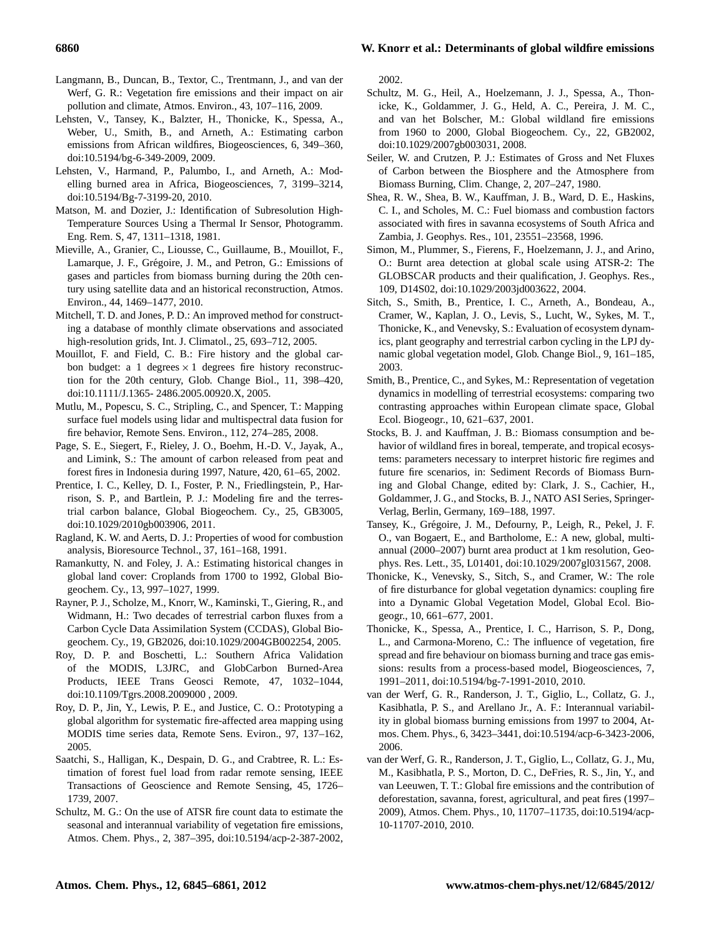- Langmann, B., Duncan, B., Textor, C., Trentmann, J., and van der Werf, G. R.: Vegetation fire emissions and their impact on air pollution and climate, Atmos. Environ., 43, 107–116, 2009.
- Lehsten, V., Tansey, K., Balzter, H., Thonicke, K., Spessa, A., Weber, U., Smith, B., and Arneth, A.: Estimating carbon emissions from African wildfires, Biogeosciences, 6, 349–360, [doi:10.5194/bg-6-349-2009,](http://dx.doi.org/10.5194/bg-6-349-2009) 2009.
- Lehsten, V., Harmand, P., Palumbo, I., and Arneth, A.: Modelling burned area in Africa, Biogeosciences, 7, 3199–3214, [doi:10.5194/Bg-7-3199-20,](http://dx.doi.org/10.5194/Bg-7-3199-2010) 2010.
- Matson, M. and Dozier, J.: Identification of Subresolution High-Temperature Sources Using a Thermal Ir Sensor, Photogramm. Eng. Rem. S, 47, 1311–1318, 1981.
- Mieville, A., Granier, C., Liousse, C., Guillaume, B., Mouillot, F., Lamarque, J. F., Grégoire, J. M., and Petron, G.: Emissions of gases and particles from biomass burning during the 20th century using satellite data and an historical reconstruction, Atmos. Environ., 44, 1469–1477, 2010.
- Mitchell, T. D. and Jones, P. D.: An improved method for constructing a database of monthly climate observations and associated high-resolution grids, Int. J. Climatol., 25, 693–712, 2005.
- Mouillot, F. and Field, C. B.: Fire history and the global carbon budget: a 1 degrees  $\times$  1 degrees fire history reconstruction for the 20th century, Glob. Change Biol., 11, 398–420, [doi:10.1111/J.1365- 2486.2005.00920.X,](http://dx.doi.org/10.1111/J.1365-2486.2005.00920.X) 2005.
- Mutlu, M., Popescu, S. C., Stripling, C., and Spencer, T.: Mapping surface fuel models using lidar and multispectral data fusion for fire behavior, Remote Sens. Environ., 112, 274–285, 2008.
- Page, S. E., Siegert, F., Rieley, J. O., Boehm, H.-D. V., Jayak, A., and Limink, S.: The amount of carbon released from peat and forest fires in Indonesia during 1997, Nature, 420, 61–65, 2002.
- Prentice, I. C., Kelley, D. I., Foster, P. N., Friedlingstein, P., Harrison, S. P., and Bartlein, P. J.: Modeling fire and the terrestrial carbon balance, Global Biogeochem. Cy., 25, GB3005, [doi:10.1029/2010gb003906,](http://dx.doi.org/10.1029/2010gb003906) 2011.
- Ragland, K. W. and Aerts, D. J.: Properties of wood for combustion analysis, Bioresource Technol., 37, 161–168, 1991.
- Ramankutty, N. and Foley, J. A.: Estimating historical changes in global land cover: Croplands from 1700 to 1992, Global Biogeochem. Cy., 13, 997–1027, 1999.
- Rayner, P. J., Scholze, M., Knorr, W., Kaminski, T., Giering, R., and Widmann, H.: Two decades of terrestrial carbon fluxes from a Carbon Cycle Data Assimilation System (CCDAS), Global Biogeochem. Cy., 19, GB2026, [doi:10.1029/2004GB002254,](http://dx.doi.org/doi:10.1029/2004GB002254) 2005.
- Roy, D. P. and Boschetti, L.: Southern Africa Validation of the MODIS, L3JRC, and GlobCarbon Burned-Area Products, IEEE Trans Geosci Remote, 47, 1032–1044, [doi:10.1109/Tgrs.2008.2009000](http://dx.doi.org/10.1109/Tgrs.2008.2009000) , 2009.
- Roy, D. P., Jin, Y., Lewis, P. E., and Justice, C. O.: Prototyping a global algorithm for systematic fire-affected area mapping using MODIS time series data, Remote Sens. Eviron., 97, 137–162, 2005.
- Saatchi, S., Halligan, K., Despain, D. G., and Crabtree, R. L.: Estimation of forest fuel load from radar remote sensing, IEEE Transactions of Geoscience and Remote Sensing, 45, 1726– 1739, 2007.
- Schultz, M. G.: On the use of ATSR fire count data to estimate the seasonal and interannual variability of vegetation fire emissions, Atmos. Chem. Phys., 2, 387–395, [doi:10.5194/acp-2-387-2002,](http://dx.doi.org/10.5194/acp-2-387-2002)

2002.

- Schultz, M. G., Heil, A., Hoelzemann, J. J., Spessa, A., Thonicke, K., Goldammer, J. G., Held, A. C., Pereira, J. M. C., and van het Bolscher, M.: Global wildland fire emissions from 1960 to 2000, Global Biogeochem. Cy., 22, GB2002, [doi:10.1029/2007gb003031,](http://dx.doi.org/10.1029/2007gb003031) 2008.
- Seiler, W. and Crutzen, P. J.: Estimates of Gross and Net Fluxes of Carbon between the Biosphere and the Atmosphere from Biomass Burning, Clim. Change, 2, 207–247, 1980.
- Shea, R. W., Shea, B. W., Kauffman, J. B., Ward, D. E., Haskins, C. I., and Scholes, M. C.: Fuel biomass and combustion factors associated with fires in savanna ecosystems of South Africa and Zambia, J. Geophys. Res., 101, 23551–23568, 1996.
- Simon, M., Plummer, S., Fierens, F., Hoelzemann, J. J., and Arino, O.: Burnt area detection at global scale using ATSR-2: The GLOBSCAR products and their qualification, J. Geophys. Res., 109, D14S02, [doi:10.1029/2003jd003622,](http://dx.doi.org/10.1029/2003jd003622) 2004.
- Sitch, S., Smith, B., Prentice, I. C., Arneth, A., Bondeau, A., Cramer, W., Kaplan, J. O., Levis, S., Lucht, W., Sykes, M. T., Thonicke, K., and Venevsky, S.: Evaluation of ecosystem dynamics, plant geography and terrestrial carbon cycling in the LPJ dynamic global vegetation model, Glob. Change Biol., 9, 161–185, 2003.
- Smith, B., Prentice, C., and Sykes, M.: Representation of vegetation dynamics in modelling of terrestrial ecosystems: comparing two contrasting approaches within European climate space, Global Ecol. Biogeogr., 10, 621–637, 2001.
- Stocks, B. J. and Kauffman, J. B.: Biomass consumption and behavior of wildland fires in boreal, temperate, and tropical ecosystems: parameters necessary to interpret historic fire regimes and future fire scenarios, in: Sediment Records of Biomass Burning and Global Change, edited by: Clark, J. S., Cachier, H., Goldammer, J. G., and Stocks, B. J., NATO ASI Series, Springer-Verlag, Berlin, Germany, 169–188, 1997.
- Tansey, K., Grégoire, J. M., Defourny, P., Leigh, R., Pekel, J. F. O., van Bogaert, E., and Bartholome, E.: A new, global, multiannual (2000–2007) burnt area product at 1 km resolution, Geophys. Res. Lett., 35, L01401, [doi:10.1029/2007gl031567,](http://dx.doi.org/10.1029/2007gl031567) 2008.
- Thonicke, K., Venevsky, S., Sitch, S., and Cramer, W.: The role of fire disturbance for global vegetation dynamics: coupling fire into a Dynamic Global Vegetation Model, Global Ecol. Biogeogr., 10, 661–677, 2001.
- Thonicke, K., Spessa, A., Prentice, I. C., Harrison, S. P., Dong, L., and Carmona-Moreno, C.: The influence of vegetation, fire spread and fire behaviour on biomass burning and trace gas emissions: results from a process-based model, Biogeosciences, 7, 1991–2011, [doi:10.5194/bg-7-1991-2010,](http://dx.doi.org/10.5194/bg-7-1991-2010) 2010.
- van der Werf, G. R., Randerson, J. T., Giglio, L., Collatz, G. J., Kasibhatla, P. S., and Arellano Jr., A. F.: Interannual variability in global biomass burning emissions from 1997 to 2004, Atmos. Chem. Phys., 6, 3423–3441, [doi:10.5194/acp-6-3423-2006,](http://dx.doi.org/10.5194/acp-6-3423-2006) 2006.
- van der Werf, G. R., Randerson, J. T., Giglio, L., Collatz, G. J., Mu, M., Kasibhatla, P. S., Morton, D. C., DeFries, R. S., Jin, Y., and van Leeuwen, T. T.: Global fire emissions and the contribution of deforestation, savanna, forest, agricultural, and peat fires (1997– 2009), Atmos. Chem. Phys., 10, 11707–11735, [doi:10.5194/acp-](http://dx.doi.org/10.5194/acp-10-11707-2010)[10-11707-2010,](http://dx.doi.org/10.5194/acp-10-11707-2010) 2010.